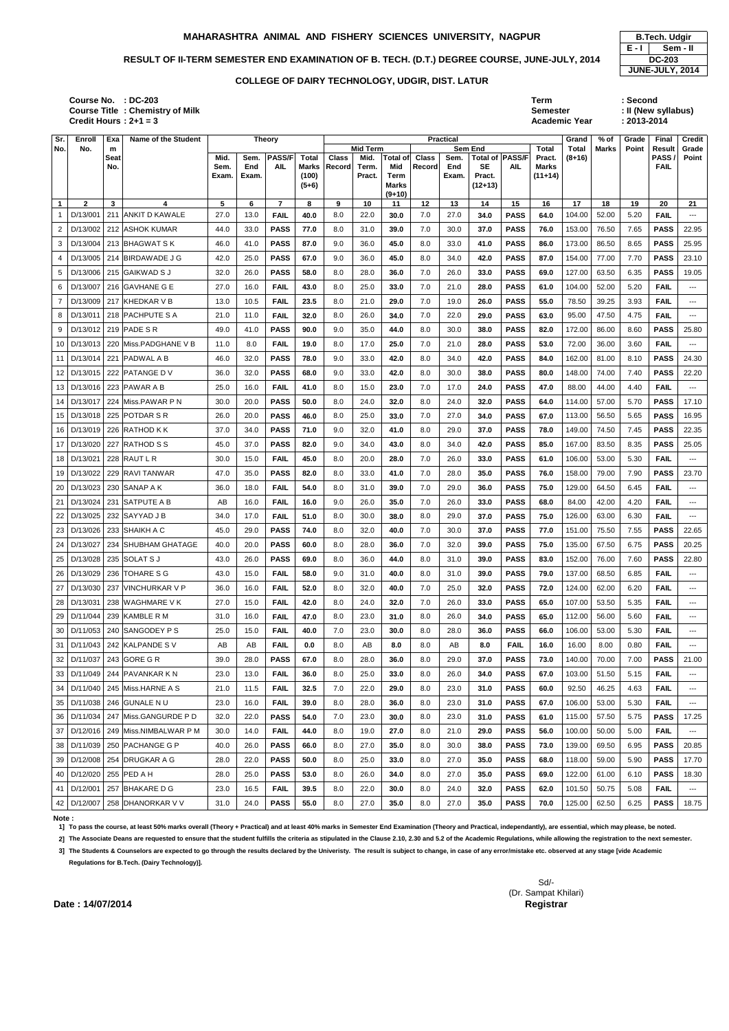## RESULT OF II-TERM SEMESTER END EXAMINATION OF B. TECH. (D.T.) DEGREE COURSE, JUNE-JULY, 2014 DC-203

**: DC-203 Term : Second** Semester : II (New syllabus)<br>Academic Year : 2013-2014 **Academic Year** 

| Sr.                   | Enroll                   | Exa         | <b>Name of the Student</b>          |               |                                                                                                                  | <b>Theory</b>                 |           |          |                 |                        |              | <b>Practical</b> |                |                                      |                    | Grand        | % of        | Grade      | Final             | <b>Credit</b>                            |
|-----------------------|--------------------------|-------------|-------------------------------------|---------------|------------------------------------------------------------------------------------------------------------------|-------------------------------|-----------|----------|-----------------|------------------------|--------------|------------------|----------------|--------------------------------------|--------------------|--------------|-------------|------------|-------------------|------------------------------------------|
| ۱No.                  | No.                      | m           |                                     |               | <b>Mid Term</b><br><b>PASS/F</b><br><b>Class</b><br>Sem.<br><b>Total</b><br><b>AIL</b><br>End<br>Marks<br>Record |                               |           |          |                 |                        |              |                  | <b>Sem End</b> |                                      | <b>Total</b>       | <b>Total</b> | Marks       | Point      | Result            | Grade                                    |
|                       |                          | <b>Seat</b> |                                     | Mid.          |                                                                                                                  |                               |           |          | Mid.            | <b>Total of</b><br>Mid | <b>Class</b> | Sem.             | <b>SE</b>      | Total of <b>PASS/F</b><br><b>AIL</b> | Pract.             | $(8+16)$     |             |            | PASS              | Point                                    |
|                       |                          | No.         |                                     | Sem.<br>Exam. | Exam.                                                                                                            |                               | (100)     |          | Term.<br>Pract. | Term                   | Record       | End<br>Exam.     | Pract.         |                                      | Marks<br>$(11+14)$ |              |             |            | <b>FAIL</b>       |                                          |
|                       |                          |             |                                     |               |                                                                                                                  |                               | $(5+6)$   |          |                 | Marks                  |              |                  | $(12+13)$      |                                      |                    |              |             |            |                   |                                          |
|                       |                          |             |                                     |               |                                                                                                                  |                               |           |          |                 | $(9+10)$               |              |                  |                |                                      |                    |              |             |            |                   |                                          |
| $\overline{1}$<br>- 1 | $\mathbf{2}$<br>D/13/001 | 3           | 4<br>211 ANKIT D KAWALE             | 5<br>27.0     | 6<br>13.0                                                                                                        | $\overline{7}$<br><b>FAIL</b> | 8<br>40.0 | 9<br>8.0 | 10<br>22.0      | 11<br>30.0             | 12<br>7.0    | 13<br>27.0       | 14<br>34.0     | 15<br><b>PASS</b>                    | 16<br>64.0         | 17<br>104.00 | 18<br>52.00 | 19<br>5.20 | 20<br><b>FAIL</b> | 21<br>$--$                               |
|                       |                          |             |                                     |               |                                                                                                                  |                               |           |          |                 |                        |              |                  |                |                                      |                    |              |             |            |                   |                                          |
| $\overline{2}$        | D/13/002                 |             | 212 ASHOK KUMAR                     | 44.0          | 33.0                                                                                                             | <b>PASS</b>                   | 77.0      | 8.0      | 31.0            | 39.0                   | 7.0          | 30.0             | 37.0           | <b>PASS</b>                          | 76.0               | 153.00       | 76.50       | 7.65       | <b>PASS</b>       | 22.95                                    |
| 3                     | D/13/004                 |             | 213 BHAGWAT S K                     | 46.0          | 41.0                                                                                                             | <b>PASS</b>                   | 87.0      | 9.0      | 36.0            | 45.0                   | 8.0          | 33.0             | 41.0           | <b>PASS</b>                          | 86.0               | 173.00       | 86.50       | 8.65       | <b>PASS</b>       | 25.95                                    |
| 4                     | D/13/005                 | 214         | IBIRDAWADE J G                      | 42.0          | 25.0                                                                                                             | <b>PASS</b>                   | 67.0      | 9.0      | 36.0            | 45.0                   | 8.0          | 34.0             | 42.0           | <b>PASS</b>                          | 87.0               | 154.00       | 77.00       | 7.70       | <b>PASS</b>       | 23.10                                    |
| 5                     |                          |             | D/13/006   215   GAIKWAD S J        | 32.0          | 26.0                                                                                                             | <b>PASS</b>                   | 58.0      | 8.0      | 28.0            | 36.0                   | 7.0          | 26.0             | 33.0           | <b>PASS</b>                          | 69.0               | 127.00       | 63.50       | 6.35       | <b>PASS</b>       | 19.05                                    |
| 6                     | D/13/007                 |             | 216 GAVHANE G E                     | 27.0          | 16.0                                                                                                             | <b>FAIL</b>                   | 43.0      | 8.0      | 25.0            | 33.0                   | 7.0          | 21.0             | 28.0           | <b>PASS</b>                          | 61.0               | 104.00       | 52.00       | 5.20       | <b>FAIL</b>       | ---                                      |
| $\overline{7}$        | D/13/009                 |             | 217 KHEDKAR V B                     | 13.0          | 10.5                                                                                                             | <b>FAIL</b>                   | 23.5      | 8.0      | 21.0            | 29.0                   | 7.0          | 19.0             | 26.0           | <b>PASS</b>                          | 55.0               | 78.50        | 39.25       | 3.93       | <b>FAIL</b>       | ---                                      |
| 8                     | D/13/011                 |             | 218 PACHPUTE S A                    | 21.0          | 11.0                                                                                                             | <b>FAIL</b>                   | 32.0      | 8.0      | 26.0            | 34.0                   | 7.0          | 22.0             | 29.0           | <b>PASS</b>                          | 63.0               | 95.00        | 47.50       | 4.75       | <b>FAIL</b>       | ---                                      |
| 9                     |                          |             | D/13/012   219   PADE S R           | 49.0          | 41.0                                                                                                             | <b>PASS</b>                   | 90.0      | 9.0      | 35.0            | 44.0                   | 8.0          | 30.0             | 38.0           | <b>PASS</b>                          | 82.0               | 172.00       | 86.00       | 8.60       | <b>PASS</b>       | 25.80                                    |
| 10 I                  | D/13/013                 |             | 220 Miss.PADGHANE V B               | 11.0          | 8.0                                                                                                              | <b>FAIL</b>                   | 19.0      | 8.0      | 17.0            | 25.0                   | 7.0          | 21.0             | 28.0           | <b>PASS</b>                          | 53.0               | 72.00        | 36.00       | 3.60       | <b>FAIL</b>       | $--$                                     |
| 11                    | D/13/014                 |             | 221 PADWAL A B                      | 46.0          | 32.0                                                                                                             | <b>PASS</b>                   | 78.0      | 9.0      | 33.0            | 42.0                   | 8.0          | 34.0             | 42.0           | <b>PASS</b>                          | 84.0               | 162.00       | 81.00       | 8.10       | <b>PASS</b>       | 24.30                                    |
| 12                    | D/13/015                 | 222         | <b>PATANGE DV</b>                   | 36.0          | 32.0                                                                                                             | <b>PASS</b>                   | 68.0      | 9.0      | 33.0            | 42.0                   | 8.0          | 30.0             | 38.0           | <b>PASS</b>                          | 80.0               | 148.00       | 74.00       | 7.40       | <b>PASS</b>       | 22.20                                    |
| 13 <sup>1</sup>       | D/13/016                 | 223         | <b>PAWAR A B</b>                    | 25.0          | 16.0                                                                                                             | <b>FAIL</b>                   | 41.0      | 8.0      | 15.0            | 23.0                   | 7.0          | 17.0             | 24.0           | <b>PASS</b>                          | 47.0               | 88.00        | 44.00       | 4.40       | <b>FAIL</b>       | ---                                      |
| 14 <sup>1</sup>       | D/13/017                 |             | 224 Miss.PAWAR P N                  | 30.0          | 20.0                                                                                                             | <b>PASS</b>                   | 50.0      | 8.0      | 24.0            | 32.0                   | 8.0          | 24.0             | 32.0           | <b>PASS</b>                          | 64.0               | 114.00       | 57.00       | 5.70       | <b>PASS</b>       | 17.10                                    |
| 15                    | D/13/018                 | 225         | <b>POTDAR S R</b>                   | 26.0          | 20.0                                                                                                             | <b>PASS</b>                   | 46.0      | 8.0      | 25.0            | 33.0                   | 7.0          | 27.0             | 34.0           | <b>PASS</b>                          | 67.0               | 113.00       | 56.50       | 5.65       | <b>PASS</b>       | 16.95                                    |
| 16                    | D/13/019                 |             | 226 RATHOD K K                      | 37.0          | 34.0                                                                                                             | <b>PASS</b>                   | 71.0      | 9.0      | 32.0            | 41.0                   | 8.0          | 29.0             | 37.0           | <b>PASS</b>                          | 78.0               | 149.00       | 74.50       | 7.45       | <b>PASS</b>       | 22.35                                    |
| 17                    | D/13/020                 | 227         | <b>RATHOD S S</b>                   | 45.0          | 37.0                                                                                                             | <b>PASS</b>                   | 82.0      | 9.0      | 34.0            | 43.0                   | 8.0          | 34.0             | 42.0           | <b>PASS</b>                          | 85.0               | 167.00       | 83.50       | 8.35       | <b>PASS</b>       | 25.05                                    |
| 18                    | D/13/021                 |             | 228 RAUT L R                        | 30.0          | 15.0                                                                                                             | <b>FAIL</b>                   | 45.0      | 8.0      | 20.0            | 28.0                   | 7.0          | 26.0             | 33.0           | <b>PASS</b>                          | 61.0               | 106.00       | 53.00       | 5.30       | <b>FAIL</b>       | ---                                      |
|                       |                          |             |                                     |               |                                                                                                                  |                               |           |          |                 |                        |              |                  |                |                                      |                    |              |             |            |                   |                                          |
| 19                    | D/13/022                 | 229         | <b>RAVI TANWAR</b>                  | 47.0          | 35.0                                                                                                             | <b>PASS</b>                   | 82.0      | 8.0      | 33.0            | 41.0                   | 7.0          | 28.0             | 35.0           | <b>PASS</b>                          | 76.0               | 158.00       | 79.00       | 7.90       | <b>PASS</b>       | 23.70                                    |
| 20                    | D/13/023                 |             | 230 SANAP A K                       | 36.0          | 18.0                                                                                                             | <b>FAIL</b>                   | 54.0      | 8.0      | 31.0            | 39.0                   | 7.0          | 29.0             | 36.0           | <b>PASS</b>                          | 75.0               | 129.00       | 64.50       | 6.45       | <b>FAIL</b>       | ---                                      |
| 21                    | D/13/024                 |             | 231 SATPUTE A B                     | AB            | 16.0                                                                                                             | <b>FAIL</b>                   | 16.0      | 9.0      | 26.0            | 35.0                   | 7.0          | 26.0             | 33.0           | <b>PASS</b>                          | 68.0               | 84.00        | 42.00       | 4.20       | <b>FAIL</b>       | $---$                                    |
|                       |                          |             | 22   D/13/025   232   SAYYAD J B    | 34.0          | 17.0                                                                                                             | <b>FAIL</b>                   | 51.0      | 8.0      | 30.0            | 38.0                   | 8.0          | 29.0             | 37.0           | <b>PASS</b>                          | 75.0               | 126.00       | 63.00       | 6.30       | <b>FAIL</b>       | ---                                      |
|                       | 23   D/13/026            |             | 233 SHAIKH A C                      | 45.0          | 29.0                                                                                                             | <b>PASS</b>                   | 74.0      | 8.0      | 32.0            | 40.0                   | 7.0          | 30.0             | 37.0           | <b>PASS</b>                          | 77.0               | 151.00       | 75.50       | 7.55       | <b>PASS</b>       | 22.65                                    |
| 24                    | D/13/027                 |             | 234 SHUBHAM GHATAGE                 | 40.0          | 20.0                                                                                                             | <b>PASS</b>                   | 60.0      | 8.0      | 28.0            | 36.0                   | 7.0          | 32.0             | 39.0           | <b>PASS</b>                          | 75.0               | 135.00       | 67.50       | 6.75       | <b>PASS</b>       | 20.25                                    |
|                       | 25   D/13/028            |             | 235 SOLAT S J                       | 43.0          | 26.0                                                                                                             | <b>PASS</b>                   | 69.0      | 8.0      | 36.0            | 44.0                   | 8.0          | 31.0             | 39.0           | <b>PASS</b>                          | 83.0               | 152.00       | 76.00       | 7.60       | <b>PASS</b>       | 22.80                                    |
| 26 <sup>1</sup>       | D/13/029                 |             | 236 TOHARE S G                      | 43.0          | 15.0                                                                                                             | <b>FAIL</b>                   | 58.0      | 9.0      | 31.0            | 40.0                   | 8.0          | 31.0             | 39.0           | <b>PASS</b>                          | 79.0               | 137.00       | 68.50       | 6.85       | <b>FAIL</b>       | $\qquad \qquad - -$                      |
| $27 \mid$             | D/13/030                 |             | 237 VINCHURKAR V P                  | 36.0          | 16.0                                                                                                             | <b>FAIL</b>                   | 52.0      | 8.0      | 32.0            | 40.0                   | 7.0          | 25.0             | 32.0           | <b>PASS</b>                          | 72.0               | 124.00       | 62.00       | 6.20       | <b>FAIL</b>       | $\hspace{0.05cm} \dashrightarrow$        |
| 28                    | D/13/031                 |             | 238 WAGHMARE V K                    | 27.0          | 15.0                                                                                                             | <b>FAIL</b>                   | 42.0      | 8.0      | 24.0            | 32.0                   | 7.0          | 26.0             | 33.0           | <b>PASS</b>                          | 65.0               | 107.00       | 53.50       | 5.35       | <b>FAIL</b>       | $\hspace{0.05cm} \ldots$                 |
| 29                    | D/11/044                 |             | 239 KAMBLE R M                      | 31.0          | 16.0                                                                                                             | <b>FAIL</b>                   | 47.0      | 8.0      | 23.0            | 31.0                   | 8.0          | 26.0             | 34.0           | <b>PASS</b>                          | 65.0               | 112.00       | 56.00       | 5.60       | <b>FAIL</b>       | $\hspace{0.05cm} \ldots \hspace{0.05cm}$ |
| 30 l                  |                          |             | D/11/053 240 SANGODEY P S           | 25.0          | 15.0                                                                                                             | <b>FAIL</b>                   | 40.0      | 7.0      | 23.0            | 30.0                   | 8.0          | 28.0             | 36.0           | <b>PASS</b>                          | 66.0               | 106.00       | 53.00       | 5.30       | <b>FAIL</b>       | ---                                      |
|                       |                          |             | 31   D/11/043   242   KALPANDE S V  | AB            | AB                                                                                                               | <b>FAIL</b>                   | 0.0       | 8.0      | AB              | 8.0                    | 8.0          | AB               | 8.0            | <b>FAIL</b>                          | 16.0               | 16.00        | 8.00        | 0.80       | <b>FAIL</b>       | ---                                      |
| 32                    | D/11/037                 |             | 243 GORE G R                        | 39.0          | 28.0                                                                                                             | <b>PASS</b>                   | 67.0      | 8.0      | 28.0            | 36.0                   | 8.0          | 29.0             | 37.0           | <b>PASS</b>                          | 73.0               | 140.00       | 70.00       | 7.00       | <b>PASS</b>       | 21.00                                    |
|                       |                          |             | 33   D/11/049   244   PAVANKAR K N  | 23.0          | 13.0                                                                                                             | <b>FAIL</b>                   | 36.0      | 8.0      | 25.0            | 33.0                   | 8.0          | 26.0             | 34.0           | <b>PASS</b>                          | 67.0               | 103.00       | 51.50       | 5.15       | <b>FAIL</b>       | $\hspace{0.05cm} \ldots \hspace{0.05cm}$ |
| 34                    |                          |             | D/11/040   245   Miss. HARNE A S    | 21.0          | 11.5                                                                                                             | <b>FAIL</b>                   | 32.5      | 7.0      | 22.0            | 29.0                   | 8.0          | 23.0             | 31.0           | <b>PASS</b>                          | 60.0               | 92.50        | 46.25       | 4.63       | <b>FAIL</b>       | ---                                      |
|                       |                          |             | 35   D/11/038   246   GUNALE N U    | 23.0          | 16.0                                                                                                             | <b>FAIL</b>                   | 39.0      | 8.0      | 28.0            | 36.0                   | 8.0          | 23.0             | 31.0           | <b>PASS</b>                          | 67.0               | 106.00       | 53.00       | 5.30       | <b>FAIL</b>       | $---$                                    |
|                       | 36 D/11/034              |             | 247 Miss.GANGURDE P D               | 32.0          | 22.0                                                                                                             | <b>PASS</b>                   | 54.0      | 7.0      | 23.0            | 30.0                   | 8.0          | 23.0             | 31.0           | <b>PASS</b>                          | 61.0               | 115.00       | 57.50       | 5.75       | <b>PASS</b>       | 17.25                                    |
| 37                    |                          |             | D/12/016   249   Miss.NIMBALWAR P M | 30.0          | 14.0                                                                                                             | <b>FAIL</b>                   | 44.0      | 8.0      | 19.0            | 27.0                   | 8.0          | 21.0             | 29.0           | <b>PASS</b>                          | 56.0               | 100.00       | 50.00       | 5.00       | <b>FAIL</b>       | $\hspace{0.05cm} \ldots$                 |
|                       |                          |             | 250 PACHANGE G P                    |               |                                                                                                                  | <b>PASS</b>                   |           | 8.0      |                 |                        |              |                  |                | <b>PASS</b>                          | 73.0               | 139.00       |             | 6.95       | <b>PASS</b>       | 20.85                                    |
| 38                    | D/11/039                 |             |                                     | 40.0          | 26.0                                                                                                             |                               | 66.0      |          | 27.0            | 35.0                   | 8.0          | 30.0             | 38.0           |                                      |                    |              | 69.50       |            |                   |                                          |
|                       |                          |             | 39   D/12/008   254   DRUGKAR A G   | 28.0          | 22.0                                                                                                             | <b>PASS</b>                   | 50.0      | 8.0      | 25.0            | 33.0                   | 8.0          | 27.0             | 35.0           | <b>PASS</b>                          | 68.0               | 118.00       | 59.00       | 5.90       | <b>PASS</b>       | 17.70                                    |
|                       | 40 D/12/020              |             | 255 PED A H                         | 28.0          | 25.0                                                                                                             | <b>PASS</b>                   | 53.0      | 8.0      | 26.0            | 34.0                   | 8.0          | 27.0             | 35.0           | <b>PASS</b>                          | 69.0               | 122.00       | 61.00       | 6.10       | <b>PASS</b>       | 18.30                                    |
|                       | 41 D/12/001              |             | 257 BHAKARE D G                     | 23.0          | 16.5                                                                                                             | <b>FAIL</b>                   | 39.5      | 8.0      | 22.0            | 30.0                   | 8.0          | 24.0             | 32.0           | <b>PASS</b>                          | 62.0               | 101.50       | 50.75       | 5.08       | <b>FAIL</b>       | $\hspace{0.05cm} \ldots$                 |
|                       | 42 D/12/007              |             | 258 DHANORKAR V V                   | 31.0          | 24.0                                                                                                             | <b>PASS</b>                   | 55.0      | 8.0      | 27.0            | 35.0                   | 8.0          | 27.0             | 35.0           | <b>PASS</b>                          | 70.0               | 125.00       | 62.50       | 6.25       | <b>PASS</b>       | 18.75                                    |

### **Note :**

**1] To pass the course, at least 50% marks overall (Theory + Practical) and at least 40% marks in Semester End Examination (Theory and Practical, independantly), are essential, which may please, be noted.**

2] The Associate Deans are requested to ensure that the student fulfills the criteria as stipulated in the Clause 2.10, 2.30 and 5.2 of the Academic Regulations, while allowing the registration to the next semester.

**3] The Students & Counselors are expected to go through the results declared by the Univeristy. The result is subject to change, in case of any error/mistake etc. observed at any stage [vide Academic** 

**Regulations for B.Tech. (Dairy Technology)].**

Sd/- (Dr. Sampat Khilari)

**Date : 14/07/2014 Controller of Examinations Controller of Examinations Controller of Examinations Controller Sequence** 

**Course No. Course Title : Chemistry of Milk Credit Hours**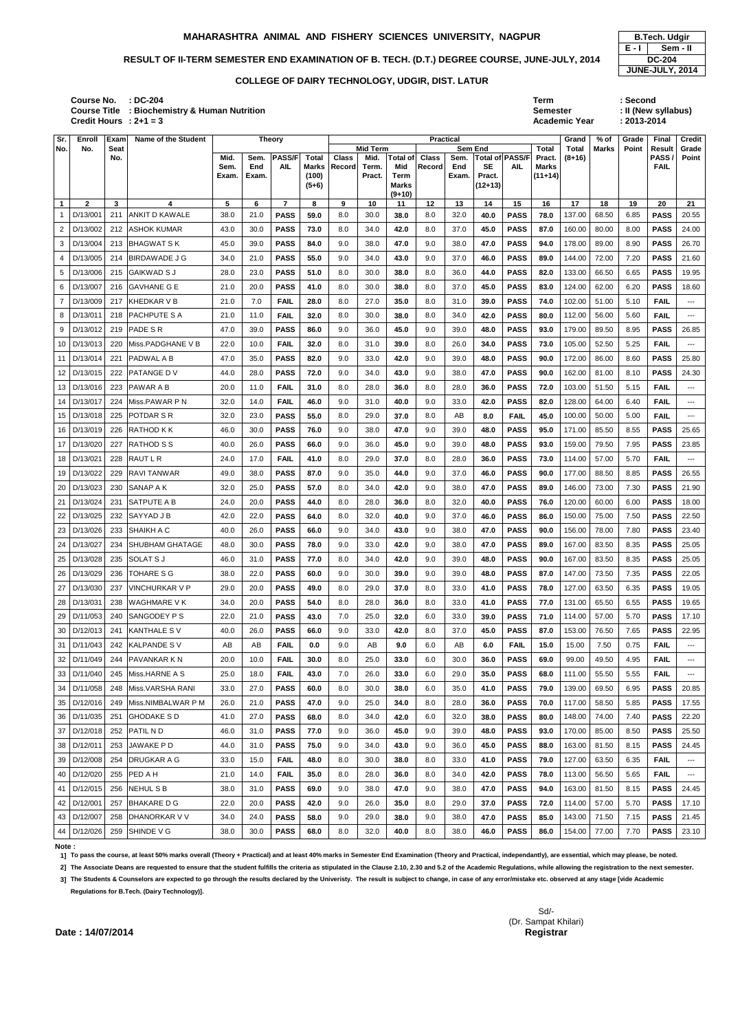Sd/- (Dr. Sampat Khilari) **Date : 14/07/2014 Controller of Examinations Controller of Controller of Controller of Controller Segistrar** 

**: DC-204 Term : Second Course No. Course Title : Biochemistry & Human Nutrition Credit Hours**

|                 |                            |                    | <b>Course Title : Biochemistry &amp; Human Nutrition</b><br>Credit Hours : $2+1=3$ |                       |                      |                             |                                                  |                        |                                            |                                                            |                        |                      |                                                    |                               | <b>Semester</b>                              | <b>Academic Year</b>     |                | $: 2013 - 2014$ | : II (New syllabus)                         |                              |
|-----------------|----------------------------|--------------------|------------------------------------------------------------------------------------|-----------------------|----------------------|-----------------------------|--------------------------------------------------|------------------------|--------------------------------------------|------------------------------------------------------------|------------------------|----------------------|----------------------------------------------------|-------------------------------|----------------------------------------------|--------------------------|----------------|-----------------|---------------------------------------------|------------------------------|
| Sr.             | Enroll                     | Exam               | <b>Name of the Student</b>                                                         |                       |                      | <b>Theory</b>               |                                                  |                        |                                            |                                                            |                        | <b>Practical</b>     |                                                    |                               |                                              | Grand                    | $%$ of         | Grade           | Final                                       | <b>Credit</b>                |
| No.             | No.                        | <b>Seat</b><br>No. |                                                                                    | Mid.<br>Sem.<br>Exam. | Sem.<br>End<br>Exam. | <b>PASS/F</b><br><b>AIL</b> | <b>Total</b><br><b>Marks</b><br>(100)<br>$(5+6)$ | <b>Class</b><br>Record | <b>Mid Term</b><br>Mid.<br>Term.<br>Pract. | <b>Total of</b><br>Mid<br>Term<br><b>Marks</b><br>$(9+10)$ | <b>Class</b><br>Record | Sem.<br>End<br>Exam. | <b>Sem End</b><br><b>SE</b><br>Pract.<br>$(12+13)$ | Total of PASS/F<br><b>AIL</b> | Total<br>Pract.<br><b>Marks</b><br>$(11+14)$ | <b>Total</b><br>$(8+16)$ | Marks          | Point           | <b>Result</b><br><b>PASS</b><br><b>FAIL</b> | Grade<br>Point               |
| $\mathbf{1}$    | $\mathbf{2}$               | 3                  | 4                                                                                  | $\sqrt{5}$            | 6                    | $\overline{7}$              | 8                                                | 9                      | 10                                         | 11                                                         | 12                     | 13                   | 14                                                 | 15                            | 16                                           | 17                       | 18             | 19              | 20                                          | 21                           |
|                 | D/13/001                   | 211                | <b>ANKIT D KAWALE</b>                                                              | 38.0                  | 21.0                 | <b>PASS</b>                 | 59.0                                             | 8.0                    | 30.0                                       | 38.0                                                       | 8.0                    | 32.0                 | 40.0                                               | <b>PASS</b>                   | 78.0                                         | 137.00                   | 68.50          | 6.85            | <b>PASS</b>                                 | 20.55                        |
| 2<br>3          | D/13/002                   | 212<br>213         | <b>ASHOK KUMAR</b><br><b>BHAGWAT S K</b>                                           | 43.0<br>45.0          | 30.0<br>39.0         | <b>PASS</b>                 | 73.0                                             | 8.0<br>9.0             | 34.0<br>38.0                               | 42.0                                                       | 8.0<br>9.0             | 37.0<br>38.0         | 45.0                                               | <b>PASS</b>                   | 87.0                                         | 160.00<br>178.00         | 80.00<br>89.00 | 8.00<br>8.90    | <b>PASS</b>                                 | 24.00<br>26.70               |
|                 | D/13/004<br>D/13/005       | 214                | <b>BIRDAWADE J G</b>                                                               | 34.0                  | 21.0                 | <b>PASS</b><br><b>PASS</b>  | 84.0<br>55.0                                     | 9.0                    | 34.0                                       | 47.0<br>43.0                                               | 9.0                    | 37.0                 | 47.0<br>46.0                                       | <b>PASS</b><br><b>PASS</b>    | 94.0<br>89.0                                 | 144.00                   | 72.00          | 7.20            | <b>PASS</b><br><b>PASS</b>                  | 21.60                        |
| 5               | D/13/006                   | 215                | <b>GAIKWAD S J</b>                                                                 | 28.0                  | 23.0                 | <b>PASS</b>                 | 51.0                                             | 8.0                    | 30.0                                       | 38.0                                                       | 8.0                    | 36.0                 | 44.0                                               | <b>PASS</b>                   | 82.0                                         | 133.00                   | 66.50          | 6.65            | <b>PASS</b>                                 | 19.95                        |
| 6               | D/13/007                   | 216                | <b>GAVHANE G E</b>                                                                 | 21.0                  | 20.0                 | <b>PASS</b>                 | 41.0                                             | 8.0                    | 30.0                                       | 38.0                                                       | 8.0                    | 37.0                 | 45.0                                               | <b>PASS</b>                   | 83.0                                         | 124.00                   | 62.00          | 6.20            | <b>PASS</b>                                 | 18.60                        |
|                 | D/13/009                   | 217                | <b>KHEDKAR V B</b>                                                                 | 21.0                  | 7.0                  | <b>FAIL</b>                 | 28.0                                             | 8.0                    | 27.0                                       | 35.0                                                       | 8.0                    | 31.0                 | 39.0                                               | <b>PASS</b>                   | 74.0                                         | 102.00                   | 51.00          | 5.10            | <b>FAIL</b>                                 | $---$                        |
| 8               | D/13/011                   | 218                | PACHPUTE S A                                                                       | 21.0                  | 11.0                 | <b>FAIL</b>                 | 32.0                                             | 8.0                    | 30.0                                       | 38.0                                                       | 8.0                    | 34.0                 | 42.0                                               | <b>PASS</b>                   | 80.0                                         | 112.00                   | 56.00          | 5.60            | <b>FAIL</b>                                 | $--$                         |
| 9               | D/13/012                   | 219                | <b>PADE SR</b>                                                                     | 47.0                  | 39.0                 | <b>PASS</b>                 | 86.0                                             | 9.0                    | 36.0                                       | 45.0                                                       | 9.0                    | 39.0                 | 48.0                                               | <b>PASS</b>                   | 93.0                                         | 179.00                   | 89.50          | 8.95            | <b>PASS</b>                                 | 26.85                        |
| 10              | D/13/013                   | 220                | Miss.PADGHANE V B                                                                  | 22.0                  | 10.0                 | <b>FAIL</b>                 | 32.0                                             | 8.0                    | 31.0                                       | 39.0                                                       | 8.0                    | 26.0                 | 34.0                                               | <b>PASS</b>                   | 73.0                                         | 105.00                   | 52.50          | 5.25            | <b>FAIL</b>                                 | $--$                         |
|                 | D/13/014                   | 221                | <b>PADWAL A B</b>                                                                  | 47.0                  | 35.0                 | <b>PASS</b>                 | 82.0                                             | 9.0                    | 33.0                                       | 42.0                                                       | 9.0                    | 39.0                 | 48.0                                               | <b>PASS</b>                   | 90.0                                         | 172.00                   | 86.00          | 8.60            | <b>PASS</b>                                 | 25.80                        |
| 12              | D/13/015                   | 222                | PATANGE DV                                                                         | 44.0                  | 28.0                 | <b>PASS</b>                 | 72.0                                             | 9.0                    | 34.0                                       | 43.0                                                       | 9.0                    | 38.0                 | 47.0                                               | <b>PASS</b>                   | 90.0                                         | 162.00                   | 81.00          | 8.10            | <b>PASS</b>                                 | 24.30                        |
| 13 I            | D/13/016                   | 223                | <b>PAWAR A B</b>                                                                   | 20.0                  | 11.0                 | <b>FAIL</b>                 | 31.0                                             | 8.0                    | 28.0                                       | 36.0                                                       | 8.0                    | 28.0                 | 36.0                                               | <b>PASS</b>                   | 72.0                                         | 103.00                   | 51.50          | 5.15            | <b>FAIL</b>                                 | $---$                        |
| 14              | D/13/017                   | 224                | Miss.PAWAR P N                                                                     | 32.0                  | 14.0                 | <b>FAIL</b>                 | 46.0                                             | 9.0                    | 31.0                                       | 40.0                                                       | 9.0                    | 33.0                 | 42.0                                               | <b>PASS</b>                   | 82.0                                         | 128.00                   | 64.00          | 6.40            | <b>FAIL</b>                                 | $--$                         |
| 15              | D/13/018                   | 225                | POTDAR S R                                                                         | 32.0                  | 23.0                 | <b>PASS</b>                 | 55.0                                             | 8.0                    | 29.0                                       | 37.0                                                       | 8.0                    | AB                   | 8.0                                                | <b>FAIL</b>                   | 45.0                                         | 100.00                   | 50.00          | 5.00            | <b>FAIL</b>                                 | $--$                         |
| 16              | D/13/019                   | 226                | RATHOD K K                                                                         | 46.0                  | 30.0                 | <b>PASS</b>                 | 76.0                                             | 9.0                    | 38.0                                       | 47.0                                                       | 9.0                    | 39.0                 | 48.0                                               | <b>PASS</b>                   | 95.0                                         | 171.00                   | 85.50          | 8.55            | <b>PASS</b>                                 | 25.65                        |
|                 | D/13/020                   | 227                | <b>RATHOD S S</b>                                                                  | 40.0                  | 26.0                 | <b>PASS</b>                 | 66.0                                             | 9.0                    | 36.0                                       | 45.0                                                       | 9.0                    | 39.0                 | 48.0                                               | <b>PASS</b>                   | 93.0                                         | 159.00                   | 79.50          | 7.95            | <b>PASS</b>                                 | 23.85                        |
| 18              | D/13/021                   | 228                | <b>RAUT L R</b>                                                                    | 24.0                  | 17.0                 | <b>FAIL</b>                 | 41.0                                             | 8.0                    | 29.0                                       | 37.0                                                       | 8.0                    | 28.0                 | 36.0                                               | <b>PASS</b>                   | 73.0                                         | 114.00                   | 57.00          | 5.70            | <b>FAIL</b>                                 | $---$                        |
| 19              | D/13/022                   | 229                | <b>RAVI TANWAR</b>                                                                 | 49.0                  | 38.0                 | <b>PASS</b>                 | 87.0                                             | 9.0                    | 35.0                                       | 44.0                                                       | 9.0                    | 37.0                 | 46.0                                               | <b>PASS</b>                   | 90.0                                         | 177.00                   | 88.50          | 8.85            | <b>PASS</b>                                 | 26.55                        |
|                 | 20 D/13/023                |                    | 230 SANAP A K                                                                      | 32.0                  | 25.0                 | <b>PASS</b>                 | 57.0                                             | 8.0                    | 34.0                                       | 42.0                                                       | 9.0                    | 38.0                 | 47.0                                               | <b>PASS</b>                   | 89.0                                         | 146.00                   | 73.00          | 7.30            | <b>PASS</b>                                 | 21.90                        |
| 21              | D/13/024                   | 231                | SATPUTE A B                                                                        | 24.0                  | 20.0                 | <b>PASS</b>                 | 44.0                                             | 8.0                    | 28.0                                       | 36.0                                                       | 8.0                    | 32.0                 | 40.0                                               | <b>PASS</b>                   | 76.0                                         | 120.00                   | 60.00          | 6.00            | <b>PASS</b>                                 | 18.00                        |
| 22              | D/13/025                   | 232                | SAYYAD J B                                                                         | 42.0                  | 22.0                 | <b>PASS</b>                 | 64.0                                             | 8.0                    | 32.0                                       | 40.0                                                       | 9.0                    | 37.0                 | 46.0                                               | <b>PASS</b>                   | 86.0                                         | 150.00                   | 75.00          | 7.50            | <b>PASS</b>                                 | 22.50                        |
| $23 \mid$       | D/13/026                   | 233                | <b>SHAIKH A C</b>                                                                  | 40.0                  | 26.0                 | <b>PASS</b>                 | 66.0                                             | 9.0                    | 34.0                                       | 43.0                                                       | 9.0                    | 38.0                 | 47.0                                               | <b>PASS</b>                   | 90.0                                         | 156.00                   | 78.00          | 7.80            | <b>PASS</b>                                 | 23.40                        |
| $24 \mid$       | D/13/027                   | 234                | SHUBHAM GHATAGE                                                                    | 48.0                  | 30.0                 | <b>PASS</b>                 | 78.0                                             | 9.0                    | 33.0                                       | 42.0                                                       | 9.0                    | 38.0                 | 47.0                                               | <b>PASS</b>                   | 89.0                                         | 167.00                   | 83.50          | 8.35            | <b>PASS</b>                                 | 25.05                        |
| 25              | D/13/028                   | 235                | <b>SOLAT S J</b>                                                                   | 46.0                  | 31.0                 | <b>PASS</b>                 | 77.0                                             | 8.0                    | 34.0                                       | 42.0                                                       | 9.0                    | 39.0                 | 48.0                                               | <b>PASS</b>                   | 90.0                                         | 167.00                   | 83.50          | 8.35            | <b>PASS</b>                                 | 25.05                        |
| 26 <sub>1</sub> | D/13/029                   | 236                | <b>TOHARE S G</b>                                                                  | 38.0                  | 22.0                 | <b>PASS</b>                 | 60.0                                             | 9.0                    | 30.0                                       | 39.0                                                       | 9.0                    | 39.0                 | 48.0                                               | <b>PASS</b>                   | 87.0                                         | 147.00                   | 73.50          | 7.35            | <b>PASS</b>                                 | 22.05                        |
| 27              | D/13/030                   | 237                | <b>VINCHURKAR V P</b>                                                              | 29.0                  | 20.0                 | <b>PASS</b>                 | 49.0                                             | 8.0                    | 29.0                                       | 37.0                                                       | 8.0                    | 33.0                 | 41.0                                               | <b>PASS</b>                   | 78.0                                         | 127.00                   | 63.50          | 6.35            | <b>PASS</b>                                 | 19.05                        |
| 28              | D/13/031                   | 238                | <b>WAGHMARE VK</b>                                                                 | 34.0                  | 20.0                 | <b>PASS</b>                 | 54.0                                             | 8.0                    | 28.0                                       | 36.0                                                       | 8.0                    | 33.0                 | 41.0                                               | <b>PASS</b>                   | 77.0                                         | 131.00                   | 65.50          | 6.55            | <b>PASS</b>                                 | 19.65                        |
| 29 <sub>1</sub> | D/11/053                   | 240                | SANGODEY P S                                                                       | 22.0                  | 21.0                 | <b>PASS</b>                 | 43.0                                             | 7.0                    | 25.0                                       | 32.0                                                       | 6.0                    | 33.0                 | 39.0                                               | <b>PASS</b>                   | 71.0                                         | 114.00                   | 57.00          | 5.70            | <b>PASS</b>                                 | 17.10                        |
| 30 <sub>1</sub> | D/12/013                   | 241                | <b>KANTHALE SV</b>                                                                 | 40.0                  | 26.0                 | <b>PASS</b>                 | 66.0                                             | 9.0                    | 33.0                                       | 42.0                                                       | 8.0                    | 37.0                 | 45.0                                               | <b>PASS</b>                   | 87.0                                         | 153.00                   | 76.50          | 7.65            | <b>PASS</b>                                 | 22.95                        |
|                 | 31 D/11/043<br>32 D/11/049 | 242<br>244         | <b>KALPANDE SV</b><br>PAVANKAR K N                                                 | AB<br>20.0            | AB<br>10.0           | <b>FAIL</b><br><b>FAIL</b>  | 0.0<br>30.0                                      | 9.0<br>8.0             | AB<br>25.0                                 | 9.0<br>33.0                                                | 6.0<br>6.0             | AB<br>30.0           | 6.0<br>36.0                                        | <b>FAIL</b><br><b>PASS</b>    | 15.0<br>69.0                                 | 15.00<br>99.00           | 7.50<br>49.50  | 0.75<br>4.95    | <b>FAIL</b><br><b>FAIL</b>                  | $\qquad \qquad - -$<br>$---$ |
| 33 <sup>1</sup> | D/11/040                   | 245                | Miss.HARNE A S                                                                     | 25.0                  | 18.0                 | <b>FAIL</b>                 | 43.0                                             | 7.0                    | 26.0                                       | 33.0                                                       | 6.0                    | 29.0                 | 35.0                                               | <b>PASS</b>                   | 68.0                                         | 111.00                   | 55.50          | 5.55            | <b>FAIL</b>                                 | $---$                        |
| 34              | D/11/058                   | 248                | Miss.VARSHA RANI                                                                   | 33.0                  | 27.0                 | <b>PASS</b>                 | 60.0                                             | 8.0                    | 30.0                                       | 38.0                                                       | 6.0                    | 35.0                 | 41.0                                               | <b>PASS</b>                   | 79.0                                         | 139.00                   | 69.50          | 6.95            | <b>PASS</b>                                 | 20.85                        |
| 35              | D/12/016                   | 249                | Miss.NIMBALWAR P M                                                                 | 26.0                  | 21.0                 | <b>PASS</b>                 | 47.0                                             | 9.0                    | 25.0                                       | 34.0                                                       | 8.0                    | 28.0                 | 36.0                                               | <b>PASS</b>                   | 70.0                                         | 117.00                   | 58.50          | 5.85            | <b>PASS</b>                                 | 17.55                        |
| 36 I            | D/11/035                   | 251                | <b>GHODAKE S D</b>                                                                 | 41.0                  | 27.0                 | <b>PASS</b>                 | 68.0                                             | 8.0                    | 34.0                                       | 42.0                                                       | 6.0                    | 32.0                 | 38.0                                               | <b>PASS</b>                   | 80.0                                         | 148.00                   | 74.00          | 7.40            | <b>PASS</b>                                 | 22.20                        |
| 37 <sup>1</sup> | D/12/018                   | 252                | PATIL ND                                                                           | 46.0                  | 31.0                 | <b>PASS</b>                 | 77.0                                             | 9.0                    | 36.0                                       | 45.0                                                       | 9.0                    | 39.0                 | 48.0                                               | <b>PASS</b>                   | 93.0                                         | 170.00                   | 85.00          | 8.50            | <b>PASS</b>                                 | 25.50                        |
| 38 I            | D/12/011                   | 253                | JAWAKE P D                                                                         | 44.0                  | 31.0                 | <b>PASS</b>                 | 75.0                                             | 9.0                    | 34.0                                       | 43.0                                                       | 9.0                    | 36.0                 | 45.0                                               | <b>PASS</b>                   | 88.0                                         | 163.00                   | 81.50          | 8.15            | <b>PASS</b>                                 | 24.45                        |
| 39 I            | D/12/008                   | 254                | DRUGKAR A G                                                                        | 33.0                  | 15.0                 | <b>FAIL</b>                 | 48.0                                             | 8.0                    | 30.0                                       | 38.0                                                       | 8.0                    | 33.0                 | 41.0                                               | <b>PASS</b>                   | 79.0                                         | 127.00                   | 63.50          | 6.35            | <b>FAIL</b>                                 | $---$                        |
|                 | 40 D/12/020                | 255                | PED A H                                                                            | 21.0                  | 14.0                 | <b>FAIL</b>                 | 35.0                                             | 8.0                    | 28.0                                       | 36.0                                                       | 8.0                    | 34.0                 | 42.0                                               | <b>PASS</b>                   | 78.0                                         | 113.00                   | 56.50          | 5.65            | <b>FAIL</b>                                 | $\qquad \qquad - -$          |
|                 | 41 D/12/015                | 256                | <b>NEHUL S B</b>                                                                   | 38.0                  | 31.0                 | <b>PASS</b>                 | 69.0                                             | 9.0                    | 38.0                                       | 47.0                                                       | 9.0                    | 38.0                 | 47.0                                               | <b>PASS</b>                   | 94.0                                         | 163.00                   | 81.50          | 8.15            | <b>PASS</b>                                 | 24.45                        |
|                 | 42 D/12/001                | 257                | <b>BHAKARE D G</b>                                                                 | 22.0                  | 20.0                 | <b>PASS</b>                 | 42.0                                             | 9.0                    | 26.0                                       | 35.0                                                       | 8.0                    | 29.0                 | 37.0                                               | <b>PASS</b>                   | 72.0                                         | 114.00                   | 57.00          | 5.70            | <b>PASS</b>                                 | 17.10                        |
|                 | 43 D/12/007                | 258                | DHANORKAR V V                                                                      | 34.0                  | 24.0                 | <b>PASS</b>                 | 58.0                                             | 9.0                    | 29.0                                       | 38.0                                                       | 9.0                    | 38.0                 | 47.0                                               | <b>PASS</b>                   | 85.0                                         | 143.00                   | 71.50          | 7.15            | <b>PASS</b>                                 | 21.45                        |
|                 | 44 D/12/026                | 259                | SHINDE V G                                                                         | 38.0                  | 30.0                 | <b>PASS</b>                 | 68.0                                             | 8.0                    | 32.0                                       | 40.0                                                       | 8.0                    | 38.0                 | 46.0                                               | <b>PASS</b>                   | 86.0                                         | 154.00                   | 77.00          | 7.70            | <b>PASS</b>                                 | 23.10                        |

|         | <b>B.Tech. Udgir</b> |  |  |  |  |  |  |  |  |  |  |  |  |
|---------|----------------------|--|--|--|--|--|--|--|--|--|--|--|--|
| $E - I$ | Sem - II             |  |  |  |  |  |  |  |  |  |  |  |  |
|         | <b>DC-204</b>        |  |  |  |  |  |  |  |  |  |  |  |  |
|         | JUNE-JULY, 2014      |  |  |  |  |  |  |  |  |  |  |  |  |

**Note :** 

**1] To pass the course, at least 50% marks overall (Theory + Practical) and at least 40% marks in Semester End Examination (Theory and Practical, independantly), are essential, which may please, be noted.**

2] The Associate Deans are requested to ensure that the student fulfills the criteria as stipulated in the Clause 2.10, 2.30 and 5.2 of the Academic Regulations, while allowing the registration to the next semester.

**3] The Students & Counselors are expected to go through the results declared by the Univeristy. The result is subject to change, in case of any error/mistake etc. observed at any stage [vide Academic Regulations for B.Tech. (Dairy Technology)].**

### **MAHARASHTRA ANIMAL AND FISHERY SCIENCES UNIVERSITY, NAGPUR B.Tech. Udgir**

# RESULT OF II-TERM SEMESTER END EXAMINATION OF B. TECH. (D.T.) DEGREE COURSE, JUNE-JULY, 2014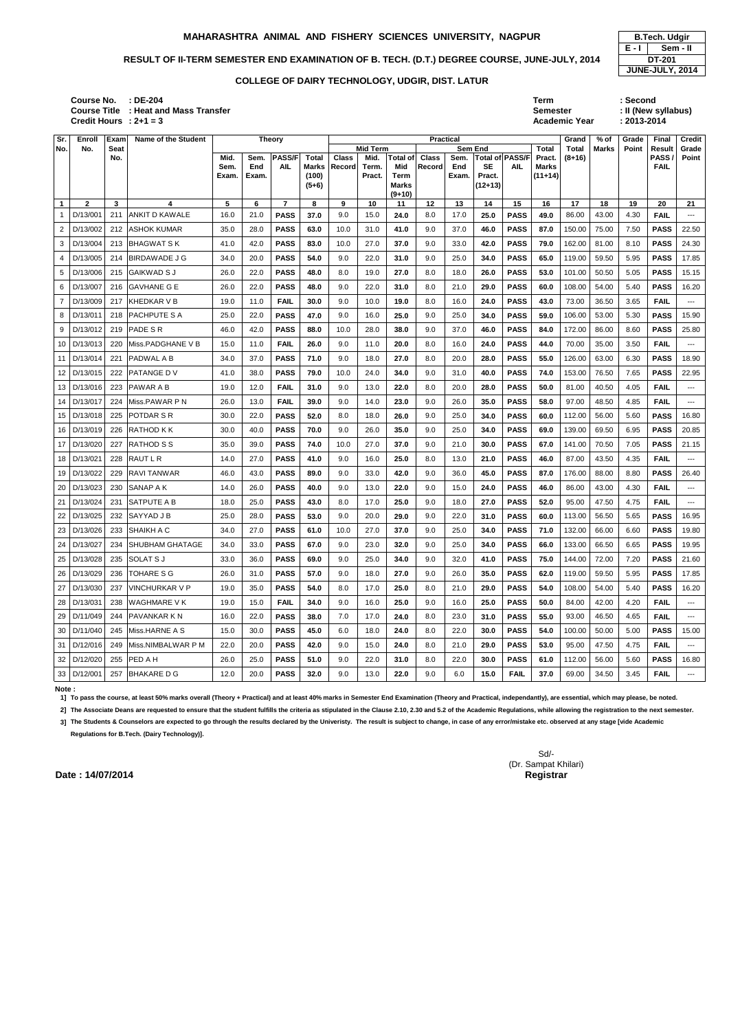### RESULT OF II-TERM SEMESTER END EXAMINATION OF B. TECH. (D.T.) DEGREE COURSE, JUNE-JULY, 2014 **DT-201**

**: DE-204 Term : Second Course No. Course Title : Heat and Mass Transfer Credit Hours**

|                 |               |                            | <b>Course Title : Heat and Mass Transfer</b><br>Credit Hours : $2+1=3$ |                       |                      |                                              |                                                  |                        |                                            |                                                            |                        |                                          |                                             |                               | <b>Semester</b>                       | <b>Academic Year</b>              |                        | : 2013-2014    | : II (New syllabus)                                  |                                          |
|-----------------|---------------|----------------------------|------------------------------------------------------------------------|-----------------------|----------------------|----------------------------------------------|--------------------------------------------------|------------------------|--------------------------------------------|------------------------------------------------------------|------------------------|------------------------------------------|---------------------------------------------|-------------------------------|---------------------------------------|-----------------------------------|------------------------|----------------|------------------------------------------------------|------------------------------------------|
| Sr.<br>No.      | Enroll<br>No. | Exam<br><b>Seat</b><br>No. | <b>Name of the Student</b>                                             | Mid.<br>Sem.<br>Exam. | Sem.<br>End<br>Exam. | <b>Theory</b><br><b>PASS/F</b><br><b>AIL</b> | <b>Total</b><br><b>Marks</b><br>(100)<br>$(5+6)$ | <b>Class</b><br>Record | <b>Mid Term</b><br>Mid.<br>Term.<br>Pract. | <b>Total of</b><br>Mid<br>Term<br><b>Marks</b><br>$(9+10)$ | <b>Class</b><br>Record | <b>Practical</b><br>Sem.<br>End<br>Exam. | Sem End<br><b>SE</b><br>Pract.<br>$(12+13)$ | Total of PASS/F<br><b>AIL</b> | Total<br>Pract.<br>Marks<br>$(11+14)$ | Grand<br><b>Total</b><br>$(8+16)$ | $%$ of<br><b>Marks</b> | Grade<br>Point | <b>Final</b><br><b>Result</b><br>PASS<br><b>FAIL</b> | <b>Credit</b><br>Grade<br>Point          |
| $\mathbf{1}$    | $\mathbf{2}$  | $\mathbf{3}$               | 4                                                                      | 5                     | 6                    | $\overline{7}$                               | 8                                                | 9                      | 10                                         | 11                                                         | 12                     | 13                                       | 14                                          | 15                            | 16                                    | 17                                | 18                     | 19             | 20                                                   | 21                                       |
|                 | D/13/001      | 211                        | <b>ANKIT D KAWALE</b>                                                  | 16.0                  | 21.0                 | <b>PASS</b>                                  | 37.0                                             | 9.0                    | 15.0                                       | 24.0                                                       | 8.0                    | 17.0                                     | 25.0                                        | <b>PASS</b>                   | 49.0                                  | 86.00                             | 43.00                  | 4.30           | <b>FAIL</b>                                          | ---                                      |
| 2               | D/13/002      | 212                        | <b>ASHOK KUMAR</b>                                                     | 35.0                  | 28.0                 | <b>PASS</b>                                  | 63.0                                             | 10.0                   | 31.0                                       | 41.0                                                       | 9.0                    | 37.0                                     | 46.0                                        | <b>PASS</b>                   | 87.0                                  | 150.00                            | 75.00                  | 7.50           | <b>PASS</b>                                          | 22.50                                    |
| 3               | D/13/004      | 213                        | <b>BHAGWATSK</b>                                                       | 41.0                  | 42.0                 | <b>PASS</b>                                  | 83.0                                             | 10.0                   | 27.0                                       | 37.0                                                       | 9.0                    | 33.0                                     | 42.0                                        | <b>PASS</b>                   | 79.0                                  | 162.00                            | 81.00                  | 8.10           | <b>PASS</b>                                          | 24.30                                    |
| 4               | D/13/005      | 214                        | <b>BIRDAWADE J G</b>                                                   | 34.0                  | 20.0                 | <b>PASS</b>                                  | 54.0                                             | 9.0                    | 22.0                                       | 31.0                                                       | 9.0                    | 25.0                                     | 34.0                                        | <b>PASS</b>                   | 65.0                                  | 119.00                            | 59.50                  | 5.95           | <b>PASS</b>                                          | 17.85                                    |
| 5               | D/13/006      | 215                        | IGAIKWAD S J                                                           | 26.0                  | 22.0                 | <b>PASS</b>                                  | 48.0                                             | 8.0                    | 19.0                                       | 27.0                                                       | 8.0                    | 18.0                                     | 26.0                                        | <b>PASS</b>                   | 53.0                                  | 101.00                            | 50.50                  | 5.05           | <b>PASS</b>                                          | 15.15                                    |
| 6               | D/13/007      | 216                        | <b>GAVHANE G E</b>                                                     | 26.0                  | 22.0                 | <b>PASS</b>                                  | 48.0                                             | 9.0                    | 22.0                                       | 31.0                                                       | 8.0                    | 21.0                                     | 29.0                                        | <b>PASS</b>                   | 60.0                                  | 108.00                            | 54.00                  | 5.40           | <b>PASS</b>                                          | 16.20                                    |
| $\overline{7}$  | D/13/009      | 217                        | KHEDKAR V B                                                            | 19.0                  | 11.0                 | <b>FAIL</b>                                  | 30.0                                             | 9.0                    | 10.0                                       | 19.0                                                       | 8.0                    | 16.0                                     | 24.0                                        | <b>PASS</b>                   | 43.0                                  | 73.00                             | 36.50                  | 3.65           | <b>FAIL</b>                                          | $---$                                    |
| 8               | D/13/011      | 218                        | <b>PACHPUTE S A</b>                                                    | 25.0                  | 22.0                 | <b>PASS</b>                                  | 47.0                                             | 9.0                    | 16.0                                       | 25.0                                                       | 9.0                    | 25.0                                     | 34.0                                        | <b>PASS</b>                   | 59.0                                  | 106.00                            | 53.00                  | 5.30           | <b>PASS</b>                                          | 15.90                                    |
| 9               | D/13/012      | 219                        | <b>PADE SR</b>                                                         | 46.0                  | 42.0                 | <b>PASS</b>                                  | 88.0                                             | 10.0                   | 28.0                                       | 38.0                                                       | 9.0                    | 37.0                                     | 46.0                                        | <b>PASS</b>                   | 84.0                                  | 172.00                            | 86.00                  | 8.60           | <b>PASS</b>                                          | 25.80                                    |
| 10              | D/13/013      | 220                        | Miss.PADGHANE V B                                                      | 15.0                  | 11.0                 | <b>FAIL</b>                                  | 26.0                                             | 9.0                    | 11.0                                       | 20.0                                                       | 8.0                    | 16.0                                     | 24.0                                        | <b>PASS</b>                   | 44.0                                  | 70.00                             | 35.00                  | 3.50           | <b>FAIL</b>                                          | $--$                                     |
| 11              | D/13/014      | 221                        | IPADWAL A B                                                            | 34.0                  | 37.0                 | <b>PASS</b>                                  | 71.0                                             | 9.0                    | 18.0                                       | 27.0                                                       | 8.0                    | 20.0                                     | 28.0                                        | <b>PASS</b>                   | 55.0                                  | 126.00                            | 63.00                  | 6.30           | <b>PASS</b>                                          | 18.90                                    |
| 12 <sub>2</sub> | D/13/015      | 222                        | <b>PATANGE DV</b>                                                      | 41.0                  | 38.0                 | <b>PASS</b>                                  | 79.0                                             | 10.0                   | 24.0                                       | 34.0                                                       | 9.0                    | 31.0                                     | 40.0                                        | <b>PASS</b>                   | 74.0                                  | 153.00                            | 76.50                  | 7.65           | <b>PASS</b>                                          | 22.95                                    |
| 13              | D/13/016      | 223                        | <b>PAWAR A B</b>                                                       | 19.0                  | 12.0                 | <b>FAIL</b>                                  | 31.0                                             | 9.0                    | 13.0                                       | 22.0                                                       | 8.0                    | 20.0                                     | 28.0                                        | <b>PASS</b>                   | 50.0                                  | 81.00                             | 40.50                  | 4.05           | <b>FAIL</b>                                          | ---                                      |
| 14              | D/13/017      | 224                        | Miss.PAWAR P N                                                         | 26.0                  | 13.0                 | <b>FAIL</b>                                  | 39.0                                             | 9.0                    | 14.0                                       | 23.0                                                       | 9.0                    | 26.0                                     | 35.0                                        | <b>PASS</b>                   | 58.0                                  | 97.00                             | 48.50                  | 4.85           | <b>FAIL</b>                                          | ---                                      |
| 15              | D/13/018      | 225                        | <b>POTDAR S R</b>                                                      | 30.0                  | 22.0                 | <b>PASS</b>                                  | 52.0                                             | 8.0                    | 18.0                                       | 26.0                                                       | 9.0                    | 25.0                                     | 34.0                                        | <b>PASS</b>                   | 60.0                                  | 112.00                            | 56.00                  | 5.60           | <b>PASS</b>                                          | 16.80                                    |
| 16              | D/13/019      | 226                        | <b>RATHOD KK</b>                                                       | 30.0                  | 40.0                 | <b>PASS</b>                                  | 70.0                                             | 9.0                    | 26.0                                       | 35.0                                                       | 9.0                    | 25.0                                     | 34.0                                        | <b>PASS</b>                   | 69.0                                  | 139.00                            | 69.50                  | 6.95           | <b>PASS</b>                                          | 20.85                                    |
| 17              | D/13/020      | 227                        | <b>RATHOD S S</b>                                                      | 35.0                  | 39.0                 | <b>PASS</b>                                  | 74.0                                             | 10.0                   | 27.0                                       | 37.0                                                       | 9.0                    | 21.0                                     | 30.0                                        | <b>PASS</b>                   | 67.0                                  | 141.00                            | 70.50                  | 7.05           | <b>PASS</b>                                          | 21.15                                    |
| 18              | D/13/021      | 228                        | <b>RAUT L R</b>                                                        | 14.0                  | 27.0                 | <b>PASS</b>                                  | 41.0                                             | 9.0                    | 16.0                                       | 25.0                                                       | 8.0                    | 13.0                                     | 21.0                                        | <b>PASS</b>                   | 46.0                                  | 87.00                             | 43.50                  | 4.35           | <b>FAIL</b>                                          | ---                                      |
| 19              | D/13/022      | 229                        | <b>RAVITANWAR</b>                                                      | 46.0                  | 43.0                 | <b>PASS</b>                                  | 89.0                                             | 9.0                    | 33.0                                       | 42.0                                                       | 9.0                    | 36.0                                     | 45.0                                        | <b>PASS</b>                   | 87.0                                  | 176.00                            | 88.00                  | 8.80           | <b>PASS</b>                                          | 26.40                                    |
|                 | 20 D/13/023   | 230                        | SANAP A K                                                              | 14.0                  | 26.0                 | <b>PASS</b>                                  | 40.0                                             | 9.0                    | 13.0                                       | 22.0                                                       | 9.0                    | 15.0                                     | 24.0                                        | <b>PASS</b>                   | 46.0                                  | 86.00                             | 43.00                  | 4.30           | <b>FAIL</b>                                          | ---                                      |
|                 | 21 D/13/024   | 231                        | <b>SATPUTE A B</b>                                                     | 18.0                  | 25.0                 | <b>PASS</b>                                  | 43.0                                             | 8.0                    | 17.0                                       | 25.0                                                       | 9.0                    | 18.0                                     | 27.0                                        | <b>PASS</b>                   | 52.0                                  | 95.00                             | 47.50                  | 4.75           | <b>FAIL</b>                                          | $--$                                     |
|                 | 22 D/13/025   |                            | 232 SAYYAD J B                                                         | 25.0                  | 28.0                 | <b>PASS</b>                                  | 53.0                                             | 9.0                    | 20.0                                       | 29.0                                                       | 9.0                    | 22.0                                     | 31.0                                        | <b>PASS</b>                   | 60.0                                  | 113.00                            | 56.50                  | 5.65           | <b>PASS</b>                                          | 16.95                                    |
|                 | 23 D/13/026   |                            | 233 SHAIKH A C                                                         | 34.0                  | 27.0                 | <b>PASS</b>                                  | 61.0                                             | 10.0                   | 27.0                                       | 37.0                                                       | 9.0                    | 25.0                                     | 34.0                                        | <b>PASS</b>                   | 71.0                                  | 132.00                            | 66.00                  | 6.60           | <b>PASS</b>                                          | 19.80                                    |
|                 | 24 D/13/027   | 234                        | SHUBHAM GHATAGE                                                        | 34.0                  | 33.0                 | <b>PASS</b>                                  | 67.0                                             | 9.0                    | 23.0                                       | 32.0                                                       | 9.0                    | 25.0                                     | 34.0                                        | <b>PASS</b>                   | 66.0                                  | 133.00                            | 66.50                  | 6.65           | <b>PASS</b>                                          | 19.95                                    |
|                 | 25 D/13/028   | 235                        | <b>SOLAT S J</b>                                                       | 33.0                  | 36.0                 | <b>PASS</b>                                  | 69.0                                             | 9.0                    | 25.0                                       | 34.0                                                       | 9.0                    | 32.0                                     | 41.0                                        | <b>PASS</b>                   | 75.0                                  | 144.00                            | 72.00                  | 7.20           | <b>PASS</b>                                          | 21.60                                    |
| 26              | D/13/029      | 236                        | <b>TOHARE S G</b>                                                      | 26.0                  | 31.0                 | <b>PASS</b>                                  | 57.0                                             | 9.0                    | 18.0                                       | 27.0                                                       | 9.0                    | 26.0                                     | 35.0                                        | <b>PASS</b>                   | 62.0                                  | 119.00                            | 59.50                  | 5.95           | <b>PASS</b>                                          | 17.85                                    |
| 27              | D/13/030      | 237                        | VINCHURKAR V P                                                         | 19.0                  | 35.0                 | <b>PASS</b>                                  | 54.0                                             | 8.0                    | 17.0                                       | 25.0                                                       | 8.0                    | 21.0                                     | 29.0                                        | <b>PASS</b>                   | 54.0                                  | 108.00                            | 54.00                  | 5.40           | <b>PASS</b>                                          | 16.20                                    |
|                 | 28 D/13/031   | 238                        | <b>WAGHMARE VK</b>                                                     | 19.0                  | 15.0                 | <b>FAIL</b>                                  | 34.0                                             | 9.0                    | 16.0                                       | 25.0                                                       | 9.0                    | 16.0                                     | 25.0                                        | <b>PASS</b>                   | 50.0                                  | 84.00                             | 42.00                  | 4.20           | <b>FAIL</b>                                          | ---                                      |
|                 | 29 D/11/049   | 244                        | <b>PAVANKAR K N</b>                                                    | 16.0                  | 22.0                 | <b>PASS</b>                                  | 38.0                                             | 7.0                    | 17.0                                       | 24.0                                                       | 8.0                    | 23.0                                     | 31.0                                        | <b>PASS</b>                   | 55.0                                  | 93.00                             | 46.50                  | 4.65           | <b>FAIL</b>                                          | $\hspace{0.05cm} \ldots \hspace{0.05cm}$ |
|                 | 30 D/11/040   | 245                        | Miss.HARNE A S                                                         | 15.0                  | 30.0                 | <b>PASS</b>                                  | 45.0                                             | 6.0                    | 18.0                                       | 24.0                                                       | 8.0                    | 22.0                                     | 30.0                                        | <b>PASS</b>                   | 54.0                                  | 100.00                            | 50.00                  | 5.00           | <b>PASS</b>                                          | 15.00                                    |
|                 | 31 D/12/016   | 249                        | Miss.NIMBALWAR P M                                                     | 22.0                  | 20.0                 | <b>PASS</b>                                  | 42.0                                             | 9.0                    | 15.0                                       | 24.0                                                       | 8.0                    | 21.0                                     | 29.0                                        | <b>PASS</b>                   | 53.0                                  | 95.00                             | 47.50                  | 4.75           | <b>FAIL</b>                                          | ---                                      |
|                 | 32 D/12/020   |                            | 255 PED A H                                                            | 26.0                  | 25.0                 | <b>PASS</b>                                  | 51.0                                             | 9.0                    | 22.0                                       | 31.0                                                       | 8.0                    | 22.0                                     | 30.0                                        | <b>PASS</b>                   | 61.0                                  | 112.00                            | 56.00                  | 5.60           | <b>PASS</b>                                          | 16.80                                    |
|                 | 33 D/12/001   | 257                        | <b>BHAKARED G</b>                                                      | 12.0                  | 20.0                 | <b>PASS</b>                                  | 32.0                                             | 9.0                    | 13.0                                       | 22.0                                                       | 9.0                    | 6.0                                      | 15.0                                        | <b>FAIL</b>                   | 37.0                                  | 69.00                             | 34.50                  | 3.45           | <b>FAIL</b>                                          | $\scriptstyle\cdots$                     |

**E - I Sem - II JUNE-JULY, 2014**

### **Note :**

**1] To pass the course, at least 50% marks overall (Theory + Practical) and at least 40% marks in Semester End Examination (Theory and Practical, independantly), are essential, which may please, be noted.**

2] The Associate Deans are requested to ensure that the student fulfills the criteria as stipulated in the Clause 2.10, 2.30 and 5.2 of the Academic Regulations, while allowing the registration to the next semester.

**3] The Students & Counselors are expected to go through the results declared by the Univeristy. The result is subject to change, in case of any error/mistake etc. observed at any stage [vide Academic Regulations for B.Tech. (Dairy Technology)].**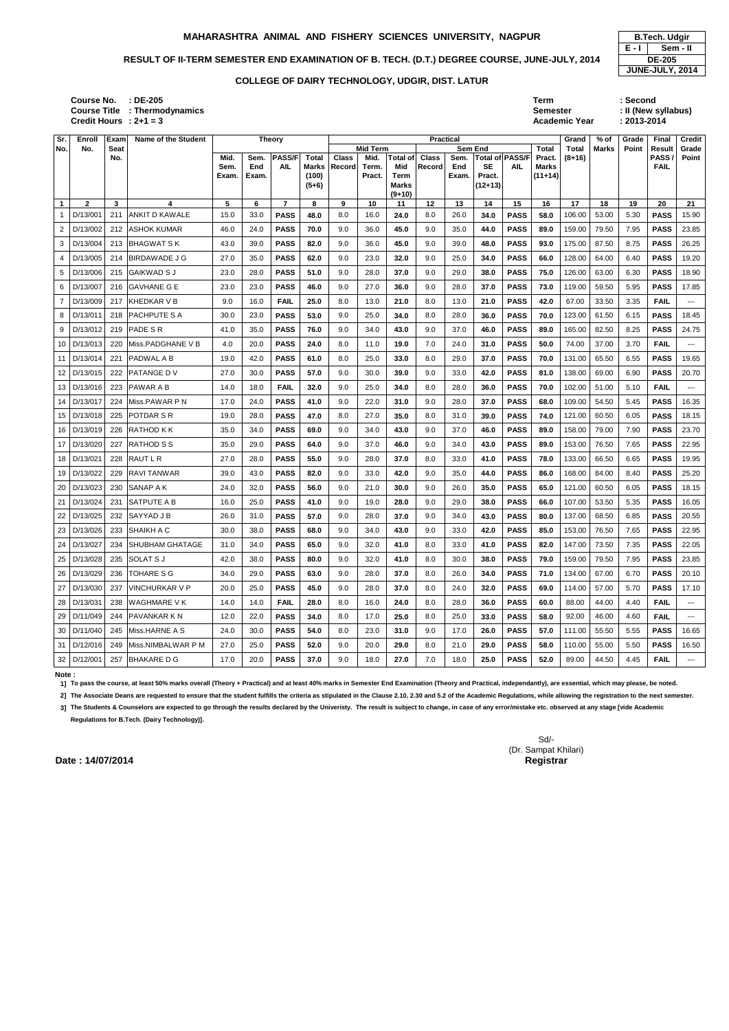### RESULT OF II-TERM SEMESTER END EXAMINATION OF B. TECH. (D.T.) DEGREE COURSE, JUNE-JULY, 2014 **DE-205**

| : DE-205         | Term                 | : Second            |
|------------------|----------------------|---------------------|
| : Thermodynamics | <b>Semester</b>      | : II (New syllabus) |
| $: 2 + 1 = 3$    | <b>Academic Year</b> | $: 2013 - 2014$     |
|                  |                      |                     |

2] The Associate Deans are requested to ensure that the student fulfills the criteria as stipulated in the Clause 2.10, 2.30 and 5.2 of the Academic Regulations, while allowing the registration to the next semester. **3] The Students & Counselors are expected to go through the results declared by the Univeristy. The result is subject to change, in case of any error/mistake etc. observed at any stage [vide Academic** 

| Sr.             | Enroll       | Exam | Name of the Student     |              |             | <b>Theory</b>               |                       |                        |                 |                 | Practical              |             |                |                               |                 | Grand    | $%$ of | Grade | Final               | <b>Credit</b>        |
|-----------------|--------------|------|-------------------------|--------------|-------------|-----------------------------|-----------------------|------------------------|-----------------|-----------------|------------------------|-------------|----------------|-------------------------------|-----------------|----------|--------|-------|---------------------|----------------------|
| No.             | No.          | Seat |                         |              |             |                             |                       |                        | <b>Mid Term</b> |                 |                        |             | <b>Sem End</b> |                               | <b>Total</b>    | Total    | Marks  | Point | Result              | Grade                |
|                 |              | No.  |                         | Mid.<br>Sem. | Sem.<br>End | <b>PASS/F</b><br><b>AIL</b> | Total<br><b>Marks</b> | <b>Class</b><br>Record | Mid.<br>Term.   | Total of<br>Mid | <b>Class</b><br>Record | Sem.<br>End | <b>SE</b>      | Total of PASS/F<br><b>AIL</b> | Pract.<br>Marks | $(8+16)$ |        |       | PASS<br><b>FAIL</b> | Point                |
|                 |              |      |                         | Exam.        | Exam.       |                             | (100)                 |                        | Pract.          | Term            |                        | Exam.       | Pract.         |                               | $(11+14)$       |          |        |       |                     |                      |
|                 |              |      |                         |              |             |                             | $(5+6)$               |                        |                 | <b>Marks</b>    |                        |             | $(12+13)$      |                               |                 |          |        |       |                     |                      |
|                 |              |      |                         |              |             |                             |                       |                        |                 | $(9+10)$        |                        |             |                |                               |                 |          |        |       |                     |                      |
| $\mathbf{1}$    | $\mathbf{2}$ | 3    | 4                       | 5            | 6           | $\overline{7}$              | 8                     | 9                      | 10              | 11              | 12                     | 13          | 14             | 15                            | 16              | 17       | 18     | 19    | 20                  | 21                   |
| -1              | D/13/001     | 211  | <b>ANKIT D KAWALE</b>   | 15.0         | 33.0        | <b>PASS</b>                 | 48.0                  | 8.0                    | 16.0            | 24.0            | 8.0                    | 26.0        | 34.0           | <b>PASS</b>                   | 58.0            | 106.00   | 53.00  | 5.30  | <b>PASS</b>         | 15.90                |
| $\overline{c}$  | D/13/002     | 212  | <b>ASHOK KUMAR</b>      | 46.0         | 24.0        | <b>PASS</b>                 | 70.0                  | 9.0                    | 36.0            | 45.0            | 9.0                    | 35.0        | 44.0           | <b>PASS</b>                   | 89.0            | 159.00   | 79.50  | 7.95  | <b>PASS</b>         | 23.85                |
| 3               | D/13/004     | 213  | BHAGWAT S K             | 43.0         | 39.0        | <b>PASS</b>                 | 82.0                  | 9.0                    | 36.0            | 45.0            | 9.0                    | 39.0        | 48.0           | <b>PASS</b>                   | 93.0            | 175.00   | 87.50  | 8.75  | <b>PASS</b>         | 26.25                |
| 4               | D/13/005     | 214  | <b>BIRDAWADE J G</b>    | 27.0         | 35.0        | <b>PASS</b>                 | 62.0                  | 9.0                    | 23.0            | 32.0            | 9.0                    | 25.0        | 34.0           | <b>PASS</b>                   | 66.0            | 128.00   | 64.00  | 6.40  | <b>PASS</b>         | 19.20                |
| 5               | D/13/006     | 215  | <b>GAIKWAD S J</b>      | 23.0         | 28.0        | <b>PASS</b>                 | 51.0                  | 9.0                    | 28.0            | 37.0            | 9.0                    | 29.0        | 38.0           | <b>PASS</b>                   | 75.0            | 126.00   | 63.00  | 6.30  | <b>PASS</b>         | 18.90                |
| 6               | D/13/007     | 216  | <b>GAVHANE G E</b>      | 23.0         | 23.0        | <b>PASS</b>                 | 46.0                  | 9.0                    | 27.0            | 36.0            | 9.0                    | 28.0        | 37.0           | <b>PASS</b>                   | 73.0            | 119.00   | 59.50  | 5.95  | <b>PASS</b>         | 17.85                |
| 7               | D/13/009     | 217  | KHEDKAR V B             | 9.0          | 16.0        | <b>FAIL</b>                 | 25.0                  | 8.0                    | 13.0            | 21.0            | 8.0                    | 13.0        | 21.0           | <b>PASS</b>                   | 42.0            | 67.00    | 33.50  | 3.35  | <b>FAIL</b>         | ---                  |
| 8               | D/13/011     | 218  | PACHPUTE S A            | 30.0         | 23.0        | <b>PASS</b>                 | 53.0                  | 9.0                    | 25.0            | 34.0            | 8.0                    | 28.0        | 36.0           | <b>PASS</b>                   | 70.0            | 123.00   | 61.50  | 6.15  | <b>PASS</b>         | 18.45                |
| 9               | D/13/012     | 219  | PADE SR                 | 41.0         | 35.0        | <b>PASS</b>                 | 76.0                  | 9.0                    | 34.0            | 43.0            | 9.0                    | 37.0        | 46.0           | <b>PASS</b>                   | 89.0            | 165.00   | 82.50  | 8.25  | <b>PASS</b>         | 24.75                |
| 10 <sup>1</sup> | D/13/013     | 220  | Miss.PADGHANE V B       | 4.0          | 20.0        | <b>PASS</b>                 | 24.0                  | 8.0                    | 11.0            | 19.0            | 7.0                    | 24.0        | 31.0           | <b>PASS</b>                   | 50.0            | 74.00    | 37.00  | 3.70  | <b>FAIL</b>         | $\scriptstyle\cdots$ |
| 11              | D/13/014     | 221  | <b>PADWAL A B</b>       | 19.0         | 42.0        | <b>PASS</b>                 | 61.0                  | 8.0                    | 25.0            | 33.0            | 8.0                    | 29.0        | 37.0           | <b>PASS</b>                   | 70.0            | 131.00   | 65.50  | 6.55  | <b>PASS</b>         | 19.65                |
| 12              | D/13/015     | 222  | <b>PATANGE DV</b>       | 27.0         | 30.0        | <b>PASS</b>                 | 57.0                  | 9.0                    | 30.0            | 39.0            | 9.0                    | 33.0        | 42.0           | <b>PASS</b>                   | 81.0            | 138.00   | 69.00  | 6.90  | <b>PASS</b>         | 20.70                |
|                 | 13 D/13/016  | 223  | <b>PAWAR A B</b>        | 14.0         | 18.0        | <b>FAIL</b>                 | 32.0                  | 9.0                    | 25.0            | 34.0            | 8.0                    | 28.0        | 36.0           | <b>PASS</b>                   | 70.0            | 102.00   | 51.00  | 5.10  | <b>FAIL</b>         | $--$                 |
| 14              | D/13/017     | 224  | Miss.PAWAR P N          | 17.0         | 24.0        | <b>PASS</b>                 | 41.0                  | 9.0                    | 22.0            | 31.0            | 9.0                    | 28.0        | 37.0           | <b>PASS</b>                   | 68.0            | 109.00   | 54.50  | 5.45  | <b>PASS</b>         | 16.35                |
| 15              | D/13/018     | 225  | POTDAR S R              | 19.0         | 28.0        | <b>PASS</b>                 | 47.0                  | 8.0                    | 27.0            | 35.0            | 8.0                    | 31.0        | 39.0           | <b>PASS</b>                   | 74.0            | 121.00   | 60.50  | 6.05  | <b>PASS</b>         | 18.15                |
| 16 I            | D/13/019     | 226  | <b>RATHOD K K</b>       | 35.0         | 34.0        | <b>PASS</b>                 | 69.0                  | 9.0                    | 34.0            | 43.0            | 9.0                    | 37.0        | 46.0           | <b>PASS</b>                   | 89.0            | 158.00   | 79.00  | 7.90  | <b>PASS</b>         | 23.70                |
| 17              | D/13/020     | 227  | <b>RATHOD S S</b>       | 35.0         | 29.0        | <b>PASS</b>                 | 64.0                  | 9.0                    | 37.0            | 46.0            | 9.0                    | 34.0        | 43.0           | <b>PASS</b>                   | 89.0            | 153.00   | 76.50  | 7.65  | <b>PASS</b>         | 22.95                |
| 18 <sup>1</sup> | D/13/021     | 228  | RAUT L R                | 27.0         | 28.0        | <b>PASS</b>                 | 55.0                  | 9.0                    | 28.0            | 37.0            | 8.0                    | 33.0        | 41.0           | <b>PASS</b>                   | 78.0            | 133.00   | 66.50  | 6.65  | <b>PASS</b>         | 19.95                |
|                 | 19 D/13/022  | 229  | <b>RAVI TANWAR</b>      | 39.0         | 43.0        | <b>PASS</b>                 | 82.0                  | 9.0                    | 33.0            | 42.0            | 9.0                    | 35.0        | 44.0           | <b>PASS</b>                   | 86.0            | 168.00   | 84.00  | 8.40  | <b>PASS</b>         | 25.20                |
| 20              | D/13/023     | 230  | SANAP A K               | 24.0         | 32.0        | <b>PASS</b>                 | 56.0                  | 9.0                    | 21.0            | 30.0            | 9.0                    | 26.0        | 35.0           | <b>PASS</b>                   | 65.0            | 121.00   | 60.50  | 6.05  | <b>PASS</b>         | 18.15                |
| 21              | D/13/024     | 231  | <b>SATPUTE A B</b>      | 16.0         | 25.0        | <b>PASS</b>                 | 41.0                  | 9.0                    | 19.0            | 28.0            | 9.0                    | 29.0        | 38.0           | <b>PASS</b>                   | 66.0            | 107.00   | 53.50  | 5.35  | <b>PASS</b>         | 16.05                |
|                 | 22 D/13/025  | 232  | <b>SAYYAD J B</b>       | 26.0         | 31.0        | <b>PASS</b>                 | 57.0                  | 9.0                    | 28.0            | 37.0            | 9.0                    | 34.0        | 43.0           | <b>PASS</b>                   | 80.0            | 137.00   | 68.50  | 6.85  | <b>PASS</b>         | 20.55                |
|                 | 23 D/13/026  | 233  | <b>SHAIKH A C</b>       | 30.0         | 38.0        | <b>PASS</b>                 | 68.0                  | 9.0                    | 34.0            | 43.0            | 9.0                    | 33.0        | 42.0           | <b>PASS</b>                   | 85.0            | 153.00   | 76.50  | 7.65  | <b>PASS</b>         | 22.95                |
|                 | 24 D/13/027  | 234  | <b>ISHUBHAM GHATAGE</b> | 31.0         | 34.0        | <b>PASS</b>                 | 65.0                  | 9.0                    | 32.0            | 41.0            | 8.0                    | 33.0        | 41.0           | <b>PASS</b>                   | 82.0            | 147.00   | 73.50  | 7.35  | <b>PASS</b>         | 22.05                |
|                 | 25 D/13/028  | 235  | <b>SOLAT S J</b>        | 42.0         | 38.0        | <b>PASS</b>                 | 80.0                  | 9.0                    | 32.0            | 41.0            | 8.0                    | 30.0        | 38.0           | <b>PASS</b>                   | 79.0            | 159.00   | 79.50  | 7.95  | <b>PASS</b>         | 23.85                |
|                 | 26 D/13/029  | 236  | <b>TOHARE S G</b>       | 34.0         | 29.0        | <b>PASS</b>                 | 63.0                  | 9.0                    | 28.0            | 37.0            | 8.0                    | 26.0        | 34.0           | <b>PASS</b>                   | 71.0            | 134.00   | 67.00  | 6.70  | <b>PASS</b>         | 20.10                |
|                 | 27 D/13/030  | 237  | <b>VINCHURKAR V P</b>   | 20.0         | 25.0        | <b>PASS</b>                 | 45.0                  | 9.0                    | 28.0            | 37.0            | 8.0                    | 24.0        | 32.0           | <b>PASS</b>                   | 69.0            | 114.00   | 57.00  | 5.70  | <b>PASS</b>         | 17.10                |
|                 | 28 D/13/031  | 238  | <b>WAGHMARE VK</b>      | 14.0         | 14.0        | <b>FAIL</b>                 | 28.0                  | 8.0                    | 16.0            | 24.0            | 8.0                    | 28.0        | 36.0           | <b>PASS</b>                   | 60.0            | 88.00    | 44.00  | 4.40  | <b>FAIL</b>         | $---$                |
|                 | 29 D/11/049  | 244  | <b>PAVANKAR K N</b>     | 12.0         | 22.0        | <b>PASS</b>                 | 34.0                  | 8.0                    | 17.0            | 25.0            | 8.0                    | 25.0        | 33.0           | <b>PASS</b>                   | 58.0            | 92.00    | 46.00  | 4.60  | <b>FAIL</b>         | ---                  |
|                 | 30 D/11/040  | 245  | Miss.HARNE A S          | 24.0         | 30.0        | <b>PASS</b>                 | 54.0                  | 8.0                    | 23.0            | 31.0            | 9.0                    | 17.0        | 26.0           | <b>PASS</b>                   | 57.0            | 111.00   | 55.50  | 5.55  | <b>PASS</b>         | 16.65                |
|                 | 31 D/12/016  | 249  | Miss.NIMBALWAR P M      | 27.0         | 25.0        | <b>PASS</b>                 | 52.0                  | 9.0                    | 20.0            | 29.0            | 8.0                    | 21.0        | 29.0           | <b>PASS</b>                   | 58.0            | 110.00   | 55.00  | 5.50  | <b>PASS</b>         | 16.50                |
|                 | 32 D/12/001  |      | 257 BHAKARE D G         | 17.0         | 20.0        | <b>PASS</b>                 | 37.0                  | 9.0                    | 18.0            | 27.0            | 7.0                    | 18.0        | 25.0           | <b>PASS</b>                   | 52.0            | 89.00    | 44.50  | 4.45  | <b>FAIL</b>         | $---$                |

**E - I Sem - II JUNE-JULY, 2014**

**Note :** 

**1] To pass the course, at least 50% marks overall (Theory + Practical) and at least 40% marks in Semester End Examination (Theory and Practical, independantly), are essential, which may please, be noted.**

**Regulations for B.Tech. (Dairy Technology)].**

**Course No. Course Title : Thermodynamics Credit Hours**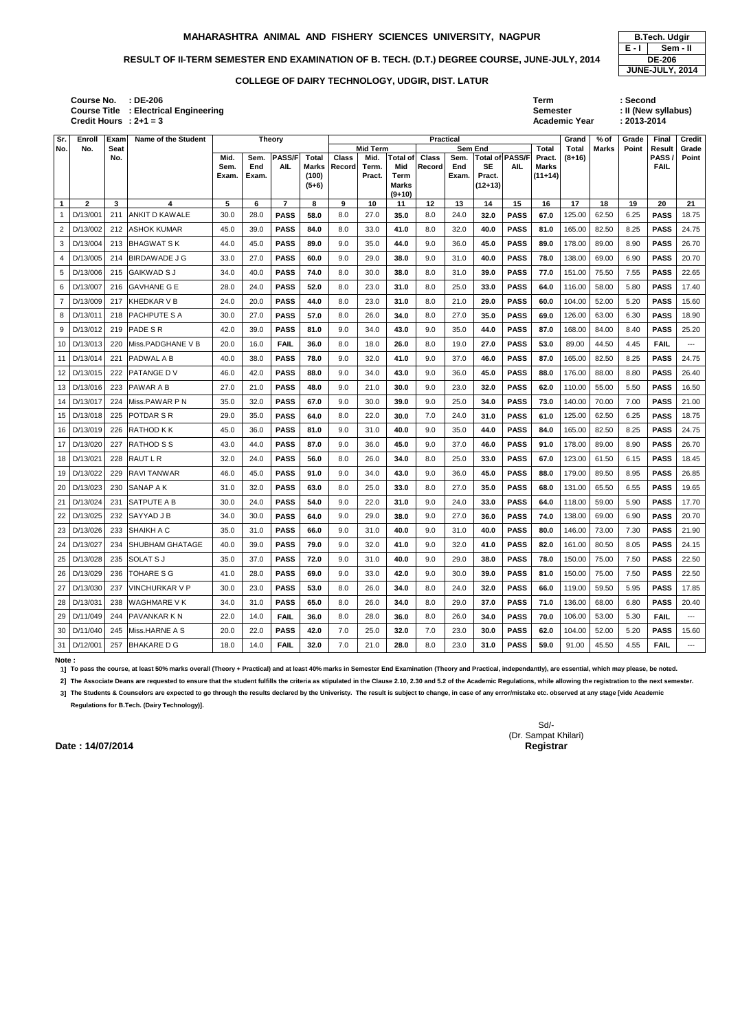### RESULT OF II-TERM SEMESTER END EXAMINATION OF B. TECH. (D.T.) DEGREE COURSE, JUNE-JULY, 2014 **DE-206**

| : DE-206                 | Term                 | :Second             |
|--------------------------|----------------------|---------------------|
| : Electrical Engineering | <b>Semester</b>      | : II (New syllabus) |
| $: 2 + 1 = 3$            | <b>Academic Year</b> | $: 2013 - 2014$     |

| Sr.          | Enroll         | Exam        | <b>Name of the Student</b> |       | <b>Theory</b> |                |                  |              |                         |                      | <b>Practical</b> |       |                     |                 |                 | Grand             | % of         | Grade | Final                 | Credit                   |
|--------------|----------------|-------------|----------------------------|-------|---------------|----------------|------------------|--------------|-------------------------|----------------------|------------------|-------|---------------------|-----------------|-----------------|-------------------|--------------|-------|-----------------------|--------------------------|
| No.          | No.            | Seat<br>No. |                            | Mid.  | Sem.          | <b>PASS/F</b>  | Total            | <b>Class</b> | <b>Mid Term</b><br>Mid. | <b>Total of</b>      | <b>Class</b>     | Sem.  | <b>Sem End</b>      | Total of PASS/F | Total<br>Pract. | Total<br>$(8+16)$ | <b>Marks</b> | Point | <b>Result</b><br>PASS | Grade<br>Point           |
|              |                |             |                            | Sem.  | End           | <b>AIL</b>     | <b>Marks</b>     | Record       | Term.                   | Mid                  | Record           | End   | <b>SE</b>           | AIL             | <b>Marks</b>    |                   |              |       | <b>FAIL</b>           |                          |
|              |                |             |                            | Exam. | Exam.         |                | (100)<br>$(5+6)$ |              | Pract.                  | Term<br><b>Marks</b> |                  | Exam. | Pract.<br>$(12+13)$ |                 | $(11+14)$       |                   |              |       |                       |                          |
|              |                |             |                            |       |               |                |                  |              |                         | $(9+10)$             |                  |       |                     |                 |                 |                   |              |       |                       |                          |
| $\mathbf{1}$ | $\overline{2}$ | 3           | 4                          | 5     | 6             | $\overline{7}$ | 8                | 9            | 10                      | 11                   | $12 \,$          | 13    | 14                  | 15              | 16              | 17                | 18           | 19    | 20                    | 21                       |
|              | D/13/001       | 211         | <b>ANKIT D KAWALE</b>      | 30.0  | 28.0          | <b>PASS</b>    | 58.0             | 8.0          | 27.0                    | 35.0                 | 8.0              | 24.0  | 32.0                | <b>PASS</b>     | 67.0            | 125.00            | 62.50        | 6.25  | <b>PASS</b>           | 18.75                    |
| 2            | D/13/002       |             | 212 ASHOK KUMAR            | 45.0  | 39.0          | <b>PASS</b>    | 84.0             | 8.0          | 33.0                    | 41.0                 | 8.0              | 32.0  | 40.0                | <b>PASS</b>     | 81.0            | 165.00            | 82.50        | 8.25  | <b>PASS</b>           | 24.75                    |
| 3            | D/13/004       | 213         | <b>BHAGWAT S K</b>         | 44.0  | 45.0          | <b>PASS</b>    | 89.0             | 9.0          | 35.0                    | 44.0                 | 9.0              | 36.0  | 45.0                | <b>PASS</b>     | 89.0            | 178.00            | 89.00        | 8.90  | <b>PASS</b>           | 26.70                    |
| 4            | D/13/005       | 214         | <b>IBIRDAWADE J G</b>      | 33.0  | 27.0          | <b>PASS</b>    | 60.0             | 9.0          | 29.0                    | 38.0                 | 9.0              | 31.0  | 40.0                | <b>PASS</b>     | 78.0            | 138.00            | 69.00        | 6.90  | <b>PASS</b>           | 20.70                    |
| 5            | D/13/006       | 215         | lGAIKWAD S J               | 34.0  | 40.0          | <b>PASS</b>    | 74.0             | 8.0          | 30.0                    | 38.0                 | 8.0              | 31.0  | 39.0                | <b>PASS</b>     | 77.0            | 151.00            | 75.50        | 7.55  | <b>PASS</b>           | 22.65                    |
| 6            | D/13/007       | 216         | <b>IGAVHANE G E</b>        | 28.0  | 24.0          | <b>PASS</b>    | 52.0             | 8.0          | 23.0                    | 31.0                 | 8.0              | 25.0  | 33.0                | <b>PASS</b>     | 64.0            | 116.00            | 58.00        | 5.80  | <b>PASS</b>           | 17.40                    |
| 7            | D/13/009       | 217         | <b>KHEDKAR V B</b>         | 24.0  | 20.0          | <b>PASS</b>    | 44.0             | 8.0          | 23.0                    | 31.0                 | 8.0              | 21.0  | 29.0                | <b>PASS</b>     | 60.0            | 104.00            | 52.00        | 5.20  | <b>PASS</b>           | 15.60                    |
| 8            | D/13/011       | 218         | <b>PACHPUTE S A</b>        | 30.0  | 27.0          | <b>PASS</b>    | 57.0             | 8.0          | 26.0                    | 34.0                 | 8.0              | 27.0  | 35.0                | <b>PASS</b>     | 69.0            | 126.00            | 63.00        | 6.30  | <b>PASS</b>           | 18.90                    |
| 9            | D/13/012       | 219         | <b>PADE SR</b>             | 42.0  | 39.0          | <b>PASS</b>    | 81.0             | 9.0          | 34.0                    | 43.0                 | 9.0              | 35.0  | 44.0                | <b>PASS</b>     | 87.0            | 168.00            | 84.00        | 8.40  | <b>PASS</b>           | 25.20                    |
| 10           | D/13/013       | 220         | Miss.PADGHANE V B          | 20.0  | 16.0          | <b>FAIL</b>    | 36.0             | 8.0          | 18.0                    | 26.0                 | 8.0              | 19.0  | 27.0                | <b>PASS</b>     | 53.0            | 89.00             | 44.50        | 4.45  | <b>FAIL</b>           | $--$                     |
| 11           | D/13/014       | 221         | <b>PADWAL A B</b>          | 40.0  | 38.0          | <b>PASS</b>    | 78.0             | 9.0          | 32.0                    | 41.0                 | 9.0              | 37.0  | 46.0                | <b>PASS</b>     | 87.0            | 165.00            | 82.50        | 8.25  | <b>PASS</b>           | 24.75                    |
| 12           | D/13/015       | 222         | <b>PATANGE DV</b>          | 46.0  | 42.0          | <b>PASS</b>    | 88.0             | 9.0          | 34.0                    | 43.0                 | 9.0              | 36.0  | 45.0                | <b>PASS</b>     | 88.0            | 176.00            | 88.00        | 8.80  | <b>PASS</b>           | 26.40                    |
| 13           | D/13/016       | 223         | <b>PAWAR A B</b>           | 27.0  | 21.0          | <b>PASS</b>    | 48.0             | 9.0          | 21.0                    | 30.0                 | 9.0              | 23.0  | 32.0                | <b>PASS</b>     | 62.0            | 110.00            | 55.00        | 5.50  | <b>PASS</b>           | 16.50                    |
| 14           | D/13/017       | 224         | Miss.PAWAR P N             | 35.0  | 32.0          | <b>PASS</b>    | 67.0             | 9.0          | 30.0                    | 39.0                 | 9.0              | 25.0  | 34.0                | <b>PASS</b>     | 73.0            | 140.00            | 70.00        | 7.00  | <b>PASS</b>           | 21.00                    |
| 15           | D/13/018       | 225         | <b>POTDAR S R</b>          | 29.0  | 35.0          | <b>PASS</b>    | 64.0             | 8.0          | 22.0                    | 30.0                 | 7.0              | 24.0  | 31.0                | <b>PASS</b>     | 61.0            | 125.00            | 62.50        | 6.25  | <b>PASS</b>           | 18.75                    |
| 16           | D/13/019       | 226         | <b>RATHOD KK</b>           | 45.0  | 36.0          | <b>PASS</b>    | 81.0             | 9.0          | 31.0                    | 40.0                 | 9.0              | 35.0  | 44.0                | <b>PASS</b>     | 84.0            | 165.00            | 82.50        | 8.25  | <b>PASS</b>           | 24.75                    |
| 17           | D/13/020       | 227         | <b>RATHOD S S</b>          | 43.0  | 44.0          | <b>PASS</b>    | 87.0             | 9.0          | 36.0                    | 45.0                 | 9.0              | 37.0  | 46.0                | <b>PASS</b>     | 91.0            | 178.00            | 89.00        | 8.90  | <b>PASS</b>           | 26.70                    |
| 18           | D/13/021       | 228         | <b>RAUT L R</b>            | 32.0  | 24.0          | <b>PASS</b>    | 56.0             | 8.0          | 26.0                    | 34.0                 | 8.0              | 25.0  | 33.0                | <b>PASS</b>     | 67.0            | 123.00            | 61.50        | 6.15  | <b>PASS</b>           | 18.45                    |
| 19           | D/13/022       | 229         | <b>RAVITANWAR</b>          | 46.0  | 45.0          | <b>PASS</b>    | 91.0             | 9.0          | 34.0                    | 43.0                 | 9.0              | 36.0  | 45.0                | <b>PASS</b>     | 88.0            | 179.00            | 89.50        | 8.95  | <b>PASS</b>           | 26.85                    |
| 20           | D/13/023       | 230         | SANAP A K                  | 31.0  | 32.0          | <b>PASS</b>    | 63.0             | 8.0          | 25.0                    | 33.0                 | 8.0              | 27.0  | 35.0                | <b>PASS</b>     | 68.0            | 131.00            | 65.50        | 6.55  | <b>PASS</b>           | 19.65                    |
| 21           | D/13/024       | 231         | SATPUTE A B                | 30.0  | 24.0          | <b>PASS</b>    | 54.0             | 9.0          | 22.0                    | 31.0                 | 9.0              | 24.0  | 33.0                | <b>PASS</b>     | 64.0            | 118.00            | 59.00        | 5.90  | <b>PASS</b>           | 17.70                    |
| 22           | D/13/025       | 232         | <b>SAYYAD J B</b>          | 34.0  | 30.0          | <b>PASS</b>    | 64.0             | 9.0          | 29.0                    | 38.0                 | 9.0              | 27.0  | 36.0                | <b>PASS</b>     | 74.0            | 138.00            | 69.00        | 6.90  | <b>PASS</b>           | 20.70                    |
|              | 23 D/13/026    |             | 233 SHAIKH A C             | 35.0  | 31.0          | <b>PASS</b>    | 66.0             | 9.0          | 31.0                    | 40.0                 | 9.0              | 31.0  | 40.0                | <b>PASS</b>     | 80.0            | 146.00            | 73.00        | 7.30  | <b>PASS</b>           | 21.90                    |
|              | 24 D/13/027    |             | 234 SHUBHAM GHATAGE        | 40.0  | 39.0          | <b>PASS</b>    | 79.0             | 9.0          | 32.0                    | 41.0                 | 9.0              | 32.0  | 41.0                | <b>PASS</b>     | 82.0            | 161.00            | 80.50        | 8.05  | <b>PASS</b>           | 24.15                    |
|              | 25 D/13/028    |             | 235 SOLAT S J              | 35.0  | 37.0          | <b>PASS</b>    | 72.0             | 9.0          | 31.0                    | 40.0                 | 9.0              | 29.0  | 38.0                | <b>PASS</b>     | 78.0            | 150.00            | 75.00        | 7.50  | <b>PASS</b>           | 22.50                    |
|              | 26 D/13/029    |             | 236   TOHARE S G           | 41.0  | 28.0          | <b>PASS</b>    | 69.0             | 9.0          | 33.0                    | 42.0                 | 9.0              | 30.0  | 39.0                | <b>PASS</b>     | 81.0            | 150.00            | 75.00        | 7.50  | <b>PASS</b>           | 22.50                    |
| 27           | D/13/030       |             | 237 VINCHURKAR V P         | 30.0  | 23.0          | <b>PASS</b>    | 53.0             | 8.0          | 26.0                    | 34.0                 | 8.0              | 24.0  | 32.0                | <b>PASS</b>     | 66.0            | 119.00            | 59.50        | 5.95  | <b>PASS</b>           | 17.85                    |
|              | 28 D/13/031    | 238         | <b>WAGHMARE VK</b>         | 34.0  | 31.0          | <b>PASS</b>    | 65.0             | 8.0          | 26.0                    | 34.0                 | 8.0              | 29.0  | 37.0                | <b>PASS</b>     | 71.0            | 136.00            | 68.00        | 6.80  | <b>PASS</b>           | 20.40                    |
|              | 29 D/11/049    |             | 244 PAVANKAR K N           | 22.0  | 14.0          | <b>FAIL</b>    | 36.0             | 8.0          | 28.0                    | 36.0                 | 8.0              | 26.0  | 34.0                | <b>PASS</b>     | 70.0            | 106.00            | 53.00        | 5.30  | <b>FAIL</b>           | $\hspace{0.05cm} \ldots$ |
|              | 30 D/11/040    | 245         | Miss.HARNE A S             | 20.0  | 22.0          | <b>PASS</b>    | 42.0             | 7.0          | 25.0                    | 32.0                 | 7.0              | 23.0  | 30.0                | <b>PASS</b>     | 62.0            | 104.00            | 52.00        | 5.20  | <b>PASS</b>           | 15.60                    |
|              | 31 D/12/001    |             | 257 BHAKARE D G            | 18.0  | 14.0          | <b>FAIL</b>    | 32.0             | 7.0          | 21.0                    | 28.0                 | 8.0              | 23.0  | 31.0                | <b>PASS</b>     | 59.0            | 91.00             | 45.50        | 4.55  | <b>FAIL</b>           | ---                      |

**E - I Sem - II JUNE-JULY, 2014**

**Note :** 

**1] To pass the course, at least 50% marks overall (Theory + Practical) and at least 40% marks in Semester End Examination (Theory and Practical, independantly), are essential, which may please, be noted.**

2] The Associate Deans are requested to ensure that the student fulfills the criteria as stipulated in the Clause 2.10, 2.30 and 5.2 of the Academic Regulations, while allowing the registration to the next semester.

**3] The Students & Counselors are expected to go through the results declared by the Univeristy. The result is subject to change, in case of any error/mistake etc. observed at any stage [vide Academic Regulations for B.Tech. (Dairy Technology)].**

**Course No. Course Title : Electrical Engineering Credit Hours**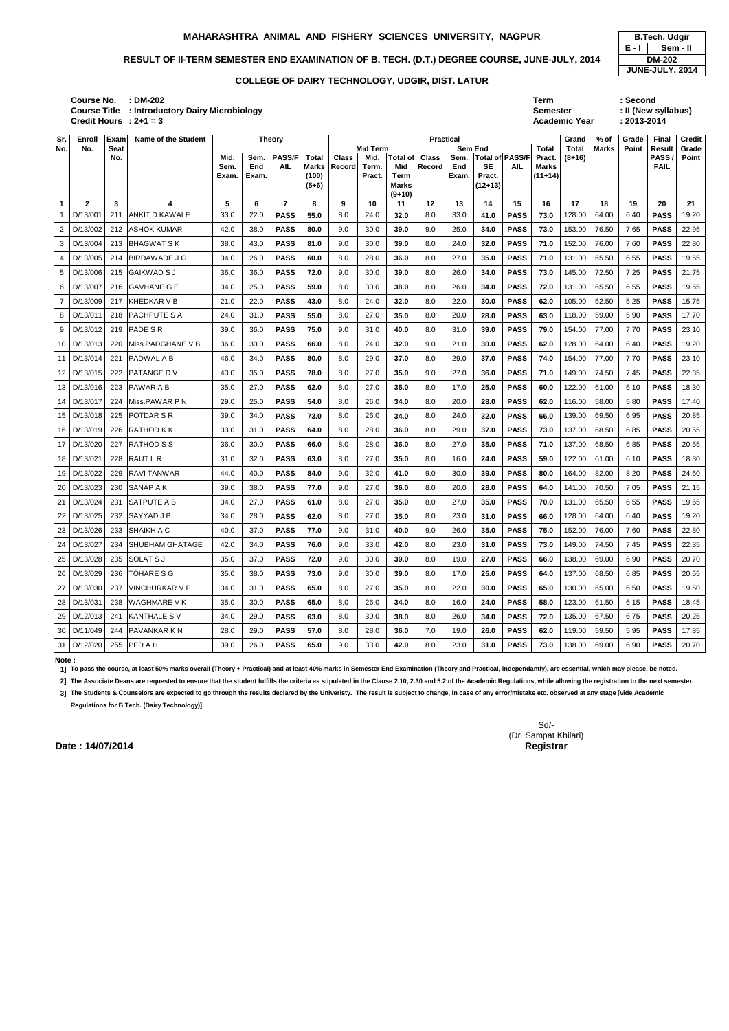| : DM-202                          | Term                 | : Second            |
|-----------------------------------|----------------------|---------------------|
| : Introductory Dairy Microbiology | <b>Semester</b>      | : II (New syllabus) |
| $: 2 + 1 = 3$                     | <b>Academic Year</b> | $: 2013 - 2014$     |
| ______                            |                      |                     |

| Sr.             | Enroll       | Exam        | <b>Name of the Student</b> |       | <b>Theory</b> |                |              |              |                         |                      | <b>Practical</b> |                 |                     |                        |                 | Grand             | % of         | Grade | <b>Final</b>   | Credit         |
|-----------------|--------------|-------------|----------------------------|-------|---------------|----------------|--------------|--------------|-------------------------|----------------------|------------------|-----------------|---------------------|------------------------|-----------------|-------------------|--------------|-------|----------------|----------------|
| No.             | No.          | Seat<br>No. |                            | Mid.  | Sem.          | <b>PASS/F</b>  | Total        | <b>Class</b> | <b>Mid Term</b><br>Mid. | <b>Total of</b>      | <b>Class</b>     | Sem End<br>Sem. |                     | <b>Total of PASS/F</b> | Total<br>Pract. | Total<br>$(8+16)$ | <b>Marks</b> | Point | Result<br>PASS | Grade<br>Point |
|                 |              |             |                            | Sem.  | End           | <b>AIL</b>     | <b>Marks</b> | Record       | Term.                   | Mid                  | Record           | End             | <b>SE</b>           | <b>AIL</b>             | Marks           |                   |              |       | <b>FAIL</b>    |                |
|                 |              |             |                            | Exam. | Exam.         |                | (100)        |              | Pract.                  | Term<br><b>Marks</b> |                  | Exam.           | Pract.<br>$(12+13)$ |                        | $(11+14)$       |                   |              |       |                |                |
|                 |              |             |                            |       |               |                | $(5+6)$      |              |                         | $(9+10)$             |                  |                 |                     |                        |                 |                   |              |       |                |                |
| $\mathbf{1}$    | $\mathbf{2}$ | 3           | 4                          | 5     | 6             | $\overline{7}$ | 8            | 9            | 10                      | 11                   | 12               | 13              | 14                  | 15                     | 16              | 17                | 18           | 19    | 20             | 21             |
| -1              | D/13/001     | 211         | <b>ANKIT D KAWALE</b>      | 33.0  | 22.0          | <b>PASS</b>    | 55.0         | 8.0          | 24.0                    | 32.0                 | 8.0              | 33.0            | 41.0                | <b>PASS</b>            | 73.0            | 128.00            | 64.00        | 6.40  | <b>PASS</b>    | 19.20          |
| 2               | D/13/002     | 212         | <b>ASHOK KUMAR</b>         | 42.0  | 38.0          | <b>PASS</b>    | 80.0         | 9.0          | 30.0                    | 39.0                 | 9.0              | 25.0            | 34.0                | <b>PASS</b>            | 73.0            | 153.00            | 76.50        | 7.65  | <b>PASS</b>    | 22.95          |
| 3               | D/13/004     | 213         | <b>BHAGWAT S K</b>         | 38.0  | 43.0          | <b>PASS</b>    | 81.0         | 9.0          | 30.0                    | 39.0                 | 8.0              | 24.0            | 32.0                | <b>PASS</b>            | 71.0            | 152.00            | 76.00        | 7.60  | <b>PASS</b>    | 22.80          |
| 4               | D/13/005     | 214         | <b>BIRDAWADE J G</b>       | 34.0  | 26.0          | <b>PASS</b>    | 60.0         | 8.0          | 28.0                    | 36.0                 | 8.0              | 27.0            | 35.0                | <b>PASS</b>            | 71.0            | 131.00            | 65.50        | 6.55  | <b>PASS</b>    | 19.65          |
| 5               | D/13/006     | 215         | <b>GAIKWAD S J</b>         | 36.0  | 36.0          | <b>PASS</b>    | 72.0         | 9.0          | 30.0                    | 39.0                 | 8.0              | 26.0            | 34.0                | <b>PASS</b>            | 73.0            | 145.00            | 72.50        | 7.25  | <b>PASS</b>    | 21.75          |
| 6               | D/13/007     | 216         | <b>GAVHANE G E</b>         | 34.0  | 25.0          | <b>PASS</b>    | 59.0         | 8.0          | 30.0                    | 38.0                 | 8.0              | 26.0            | 34.0                | <b>PASS</b>            | 72.0            | 131.00            | 65.50        | 6.55  | <b>PASS</b>    | 19.65          |
| $\overline{7}$  | D/13/009     | 217         | <b>KHEDKAR VB</b>          | 21.0  | 22.0          | <b>PASS</b>    | 43.0         | 8.0          | 24.0                    | 32.0                 | 8.0              | 22.0            | 30.0                | <b>PASS</b>            | 62.0            | 105.00            | 52.50        | 5.25  | <b>PASS</b>    | 15.75          |
| 8               | D/13/011     | 218         | <b>PACHPUTE S A</b>        | 24.0  | 31.0          | <b>PASS</b>    | 55.0         | 8.0          | 27.0                    | 35.0                 | 8.0              | 20.0            | 28.0                | <b>PASS</b>            | 63.0            | 118.00            | 59.00        | 5.90  | <b>PASS</b>    | 17.70          |
| 9               | D/13/012     | 219         | <b>PADE SR</b>             | 39.0  | 36.0          | <b>PASS</b>    | 75.0         | 9.0          | 31.0                    | 40.0                 | 8.0              | 31.0            | 39.0                | <b>PASS</b>            | 79.0            | 154.00            | 77.00        | 7.70  | <b>PASS</b>    | 23.10          |
| 10 <sup>°</sup> | D/13/013     | 220         | Miss.PADGHANE V B          | 36.0  | 30.0          | <b>PASS</b>    | 66.0         | 8.0          | 24.0                    | 32.0                 | 9.0              | 21.0            | 30.0                | <b>PASS</b>            | 62.0            | 128.00            | 64.00        | 6.40  | <b>PASS</b>    | 19.20          |
| 11              | D/13/014     | 221         | PADWAL A B                 | 46.0  | 34.0          | <b>PASS</b>    | 80.0         | 8.0          | 29.0                    | 37.0                 | 8.0              | 29.0            | 37.0                | <b>PASS</b>            | 74.0            | 154.00            | 77.00        | 7.70  | <b>PASS</b>    | 23.10          |
| 12              | D/13/015     | 222         | <b>PATANGE DV</b>          | 43.0  | 35.0          | <b>PASS</b>    | 78.0         | 8.0          | 27.0                    | 35.0                 | 9.0              | 27.0            | 36.0                | <b>PASS</b>            | 71.0            | 149.00            | 74.50        | 7.45  | <b>PASS</b>    | 22.35          |
| 13              | D/13/016     | 223         | <b>PAWAR A B</b>           | 35.0  | 27.0          | <b>PASS</b>    | 62.0         | 8.0          | 27.0                    | 35.0                 | 8.0              | 17.0            | 25.0                | <b>PASS</b>            | 60.0            | 122.00            | 61.00        | 6.10  | <b>PASS</b>    | 18.30          |
| 14              | D/13/017     | 224         | Miss.PAWAR P N             | 29.0  | 25.0          | <b>PASS</b>    | 54.0         | 8.0          | 26.0                    | 34.0                 | 8.0              | 20.0            | 28.0                | <b>PASS</b>            | 62.0            | 116.00            | 58.00        | 5.80  | <b>PASS</b>    | 17.40          |
| 15              | D/13/018     | 225         | POTDAR S R                 | 39.0  | 34.0          | <b>PASS</b>    | 73.0         | 8.0          | 26.0                    | 34.0                 | 8.0              | 24.0            | 32.0                | <b>PASS</b>            | 66.0            | 139.00            | 69.50        | 6.95  | <b>PASS</b>    | 20.85          |
| 16              | D/13/019     | 226         | RATHOD K K                 | 33.0  | 31.0          | <b>PASS</b>    | 64.0         | 8.0          | 28.0                    | 36.0                 | 8.0              | 29.0            | 37.0                | <b>PASS</b>            | 73.0            | 137.00            | 68.50        | 6.85  | <b>PASS</b>    | 20.55          |
| 17              | D/13/020     | 227         | <b>RATHOD S S</b>          | 36.0  | 30.0          | <b>PASS</b>    | 66.0         | 8.0          | 28.0                    | 36.0                 | 8.0              | 27.0            | 35.0                | <b>PASS</b>            | 71.0            | 137.00            | 68.50        | 6.85  | <b>PASS</b>    | 20.55          |
| 18 I            | D/13/021     | 228         | <b>RAUT L R</b>            | 31.0  | 32.0          | <b>PASS</b>    | 63.0         | 8.0          | 27.0                    | 35.0                 | 8.0              | 16.0            | 24.0                | <b>PASS</b>            | 59.0            | 122.00            | 61.00        | 6.10  | <b>PASS</b>    | 18.30          |
| 19              | D/13/022     | 229         | <b>RAVI TANWAR</b>         | 44.0  | 40.0          | <b>PASS</b>    | 84.0         | 9.0          | 32.0                    | 41.0                 | 9.0              | 30.0            | 39.0                | <b>PASS</b>            | 80.0            | 164.00            | 82.00        | 8.20  | <b>PASS</b>    | 24.60          |
| 20              | D/13/023     | 230         | <b>SANAP A K</b>           | 39.0  | 38.0          | <b>PASS</b>    | 77.0         | 9.0          | 27.0                    | 36.0                 | 8.0              | 20.0            | 28.0                | <b>PASS</b>            | 64.0            | 141.00            | 70.50        | 7.05  | <b>PASS</b>    | 21.15          |
| 21              | D/13/024     | 231         | <b>SATPUTE A B</b>         | 34.0  | 27.0          | <b>PASS</b>    | 61.0         | 8.0          | 27.0                    | 35.0                 | 8.0              | 27.0            | 35.0                | <b>PASS</b>            | 70.0            | 131.00            | 65.50        | 6.55  | <b>PASS</b>    | 19.65          |
|                 | 22 D/13/025  | 232         | <b>SAYYAD J B</b>          | 34.0  | 28.0          | <b>PASS</b>    | 62.0         | 8.0          | 27.0                    | 35.0                 | 8.0              | 23.0            | 31.0                | <b>PASS</b>            | 66.0            | 128.00            | 64.00        | 6.40  | <b>PASS</b>    | 19.20          |
|                 | 23 D/13/026  |             | 233 SHAIKH A C             | 40.0  | 37.0          | <b>PASS</b>    | 77.0         | 9.0          | 31.0                    | 40.0                 | 9.0              | 26.0            | 35.0                | <b>PASS</b>            | 75.0            | 152.00            | 76.00        | 7.60  | <b>PASS</b>    | 22.80          |
|                 | 24 D/13/027  | 234         | SHUBHAM GHATAGE            | 42.0  | 34.0          | <b>PASS</b>    | 76.0         | 9.0          | 33.0                    | 42.0                 | 8.0              | 23.0            | 31.0                | <b>PASS</b>            | 73.0            | 149.00            | 74.50        | 7.45  | <b>PASS</b>    | 22.35          |
|                 | 25 D/13/028  |             | 235 SOLAT S J              | 35.0  | 37.0          | <b>PASS</b>    | 72.0         | 9.0          | 30.0                    | 39.0                 | 8.0              | 19.0            | 27.0                | <b>PASS</b>            | 66.0            | 138.00            | 69.00        | 6.90  | <b>PASS</b>    | 20.70          |
|                 | 26 D/13/029  | 236         | TOHARE S G                 | 35.0  | 38.0          | <b>PASS</b>    | 73.0         | 9.0          | 30.0                    | 39.0                 | 8.0              | 17.0            | 25.0                | <b>PASS</b>            | 64.0            | 137.00            | 68.50        | 6.85  | <b>PASS</b>    | 20.55          |
|                 | 27 D/13/030  | 237         | <b>VINCHURKAR V P</b>      | 34.0  | 31.0          | <b>PASS</b>    | 65.0         | 8.0          | 27.0                    | 35.0                 | 8.0              | 22.0            | 30.0                | <b>PASS</b>            | 65.0            | 130.00            | 65.00        | 6.50  | <b>PASS</b>    | 19.50          |
|                 | 28 D/13/031  | 238         | <b>WAGHMARE VK</b>         | 35.0  | 30.0          | <b>PASS</b>    | 65.0         | 8.0          | 26.0                    | 34.0                 | 8.0              | 16.0            | 24.0                | <b>PASS</b>            | 58.0            | 123.00            | 61.50        | 6.15  | <b>PASS</b>    | 18.45          |
|                 | 29 D/12/013  | 241         | <b>KANTHALE SV</b>         | 34.0  | 29.0          | <b>PASS</b>    | 63.0         | 8.0          | 30.0                    | 38.0                 | 8.0              | 26.0            | 34.0                | <b>PASS</b>            | 72.0            | 135.00            | 67.50        | 6.75  | <b>PASS</b>    | 20.25          |
|                 | 30 D/11/049  |             | 244 PAVANKAR K N           | 28.0  | 29.0          | <b>PASS</b>    | 57.0         | 8.0          | 28.0                    | 36.0                 | 7.0              | 19.0            | 26.0                | <b>PASS</b>            | 62.0            | 119.00            | 59.50        | 5.95  | <b>PASS</b>    | 17.85          |
|                 | 31 D/12/020  |             | 255 PED A H                | 39.0  | 26.0          | <b>PASS</b>    | 65.0         | 9.0          | 33.0                    | 42.0                 | 8.0              | 23.0            | 31.0                | <b>PASS</b>            | 73.0            | 138.00            | 69.00        | 6.90  | <b>PASS</b>    | 20.70          |

|         | <b>B.Tech. Udgir</b> |  |  |  |  |  |  |  |  |  |  |  |  |
|---------|----------------------|--|--|--|--|--|--|--|--|--|--|--|--|
| $E - I$ | Sem - II             |  |  |  |  |  |  |  |  |  |  |  |  |
|         | <b>DM-202</b>        |  |  |  |  |  |  |  |  |  |  |  |  |
|         | JUNE-JULY, 2014      |  |  |  |  |  |  |  |  |  |  |  |  |

**Note :** 

**1] To pass the course, at least 50% marks overall (Theory + Practical) and at least 40% marks in Semester End Examination (Theory and Practical, independantly), are essential, which may please, be noted.**

2] The Associate Deans are requested to ensure that the student fulfills the criteria as stipulated in the Clause 2.10, 2.30 and 5.2 of the Academic Regulations, while allowing the registration to the next semester.

**3] The Students & Counselors are expected to go through the results declared by the Univeristy. The result is subject to change, in case of any error/mistake etc. observed at any stage [vide Academic Regulations for B.Tech. (Dairy Technology)].**

### **MAHARASHTRA ANIMAL AND FISHERY SCIENCES UNIVERSITY, NAGPUR B.Tech. Udgir**

### RESULT OF II-TERM SEMESTER END EXAMINATION OF B. TECH. (D.T.) DEGREE COURSE, JUNE-JULY, 2014

### **COLLEGE OF DAIRY TECHNOLOGY, UDGIR, DIST. LATUR**

**Credit Hours Course No. Course Title : Introductory Dairy Microbiology**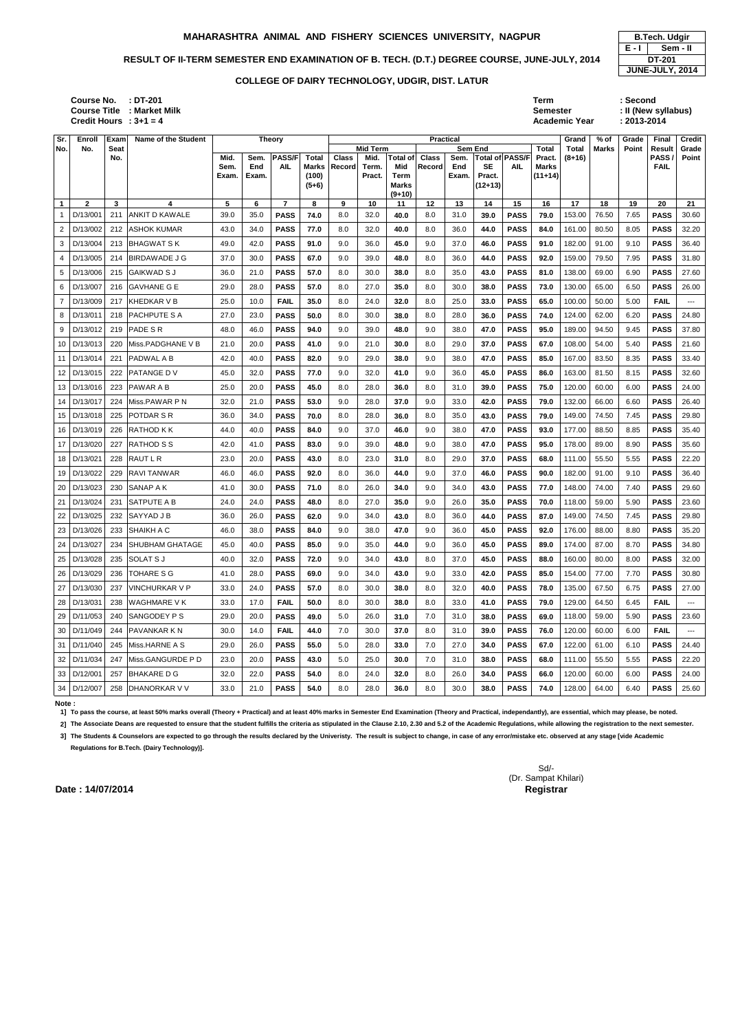### RESULT OF II-TERM SEMESTER END EXAMINATION OF B. TECH. (D.T.) DEGREE COURSE, JUNE-JULY, 2014 **DE-201**

**: DT-201 Term : Second** Semester : II (New syllabus) **: 3+1 = 4 Academic Year : 2013-2014**

| Sr.             | <b>Enroll</b> | Exam | Name of the Student    |              | <b>Theory</b> |                             |                              |                        |                 |                 | <b>Practical</b>       |             |                |                               |                        | Grand    | $%$ of | Grade | <b>Final</b>        | <b>Credit</b>          |
|-----------------|---------------|------|------------------------|--------------|---------------|-----------------------------|------------------------------|------------------------|-----------------|-----------------|------------------------|-------------|----------------|-------------------------------|------------------------|----------|--------|-------|---------------------|------------------------|
| No.             | No.           | Seat |                        |              |               |                             |                              |                        | <b>Mid Term</b> |                 |                        |             | <b>Sem End</b> |                               | Total                  | Total    | Marks  | Point | Result              | Grade                  |
|                 |               | No.  |                        | Mid.<br>Sem. | Sem.<br>End   | <b>PASS/F</b><br><b>AIL</b> | <b>Total</b><br><b>Marks</b> | <b>Class</b><br>Record | Mid.<br>Term.   | Total of<br>Mid | <b>Class</b><br>Record | Sem.<br>End | <b>SE</b>      | Total of PASS/F<br><b>AIL</b> | Pract.<br><b>Marks</b> | $(8+16)$ |        |       | PASS<br><b>FAIL</b> | Point                  |
|                 |               |      |                        | Exam.        | Exam.         |                             | (100)                        |                        | Pract.          | Term            |                        | Exam.       | Pract.         |                               | $(11+14)$              |          |        |       |                     |                        |
|                 |               |      |                        |              |               |                             | $(5+6)$                      |                        |                 | <b>Marks</b>    |                        |             | $(12+13)$      |                               |                        |          |        |       |                     |                        |
| $\mathbf{1}$    | $\mathbf{2}$  | 3    | 4                      | 5            | 6             | $\overline{7}$              | 8                            | 9                      | 10              | $(9+10)$<br>11  | 12                     | 13          | 14             | 15                            | 16                     | 17       | 18     | 19    | 20                  | 21                     |
| -1              | D/13/001      | 211  | <b>ANKIT D KAWALE</b>  | 39.0         | 35.0          | <b>PASS</b>                 | 74.0                         | 8.0                    | 32.0            | 40.0            | 8.0                    | 31.0        | 39.0           | <b>PASS</b>                   | 79.0                   | 153.00   | 76.50  | 7.65  | <b>PASS</b>         | 30.60                  |
| $\overline{c}$  | D/13/002      | 212  | <b>ASHOK KUMAR</b>     | 43.0         | 34.0          | <b>PASS</b>                 | 77.0                         | 8.0                    | 32.0            | 40.0            | 8.0                    | 36.0        | 44.0           | <b>PASS</b>                   | 84.0                   | 161.00   | 80.50  | 8.05  | <b>PASS</b>         | 32.20                  |
| 3               | D/13/004      | 213  | BHAGWAT S K            | 49.0         | 42.0          | <b>PASS</b>                 | 91.0                         | 9.0                    | 36.0            | 45.0            | 9.0                    | 37.0        | 46.0           | <b>PASS</b>                   | 91.0                   | 182.00   | 91.00  | 9.10  | <b>PASS</b>         | 36.40                  |
| 4               | D/13/005      | 214  | <b>BIRDAWADE J G</b>   | 37.0         | 30.0          | <b>PASS</b>                 | 67.0                         | 9.0                    | 39.0            | 48.0            | 8.0                    | 36.0        | 44.0           | <b>PASS</b>                   | 92.0                   | 159.00   | 79.50  | 7.95  | <b>PASS</b>         | 31.80                  |
| 5               | D/13/006      | 215  | <b>GAIKWAD SJ</b>      | 36.0         | 21.0          | <b>PASS</b>                 | 57.0                         | 8.0                    | 30.0            | 38.0            | 8.0                    | 35.0        | 43.0           | <b>PASS</b>                   | 81.0                   | 138.00   | 69.00  | 6.90  | <b>PASS</b>         | 27.60                  |
| 6               | D/13/007      | 216  | <b>GAVHANE G E</b>     | 29.0         | 28.0          | <b>PASS</b>                 | 57.0                         | 8.0                    | 27.0            | 35.0            | 8.0                    | 30.0        | 38.0           | <b>PASS</b>                   | 73.0                   | 130.00   | 65.00  | 6.50  | <b>PASS</b>         | 26.00                  |
| 7               | D/13/009      | 217  | KHEDKAR V B            | 25.0         | 10.0          | <b>FAIL</b>                 | 35.0                         | 8.0                    | 24.0            | 32.0            | 8.0                    | 25.0        | 33.0           | <b>PASS</b>                   | 65.0                   | 100.00   | 50.00  | 5.00  | <b>FAIL</b>         | ---                    |
| 8               | D/13/011      | 218  | PACHPUTE S A           | 27.0         | 23.0          | <b>PASS</b>                 | 50.0                         | 8.0                    | 30.0            | 38.0            | 8.0                    | 28.0        | 36.0           | <b>PASS</b>                   | 74.0                   | 124.00   | 62.00  | 6.20  | <b>PASS</b>         | 24.80                  |
| 9               | D/13/012      | 219  | PADE SR                | 48.0         | 46.0          | <b>PASS</b>                 | 94.0                         | 9.0                    | 39.0            | 48.0            | 9.0                    | 38.0        | 47.0           | <b>PASS</b>                   | 95.0                   | 189.00   | 94.50  | 9.45  | <b>PASS</b>         | 37.80                  |
| 10 <sup>1</sup> | D/13/013      | 220  | Miss.PADGHANE V B      | 21.0         | 20.0          | <b>PASS</b>                 | 41.0                         | 9.0                    | 21.0            | 30.0            | 8.0                    | 29.0        | 37.0           | <b>PASS</b>                   | 67.0                   | 108.00   | 54.00  | 5.40  | <b>PASS</b>         | 21.60                  |
| 11              | D/13/014      | 221  | <b>PADWAL A B</b>      | 42.0         | 40.0          | <b>PASS</b>                 | 82.0                         | 9.0                    | 29.0            | 38.0            | 9.0                    | 38.0        | 47.0           | <b>PASS</b>                   | 85.0                   | 167.00   | 83.50  | 8.35  | <b>PASS</b>         | 33.40                  |
| 12              | D/13/015      | 222  | <b>PATANGE DV</b>      | 45.0         | 32.0          | <b>PASS</b>                 | 77.0                         | 9.0                    | 32.0            | 41.0            | 9.0                    | 36.0        | 45.0           | <b>PASS</b>                   | 86.0                   | 163.00   | 81.50  | 8.15  | <b>PASS</b>         | 32.60                  |
|                 | 13 D/13/016   | 223  | <b>PAWAR A B</b>       | 25.0         | 20.0          | <b>PASS</b>                 | 45.0                         | 8.0                    | 28.0            | 36.0            | 8.0                    | 31.0        | 39.0           | <b>PASS</b>                   | 75.0                   | 120.00   | 60.00  | 6.00  | <b>PASS</b>         | 24.00                  |
| 14 I            | D/13/017      | 224  | Miss.PAWAR P N         | 32.0         | 21.0          | <b>PASS</b>                 | 53.0                         | 9.0                    | 28.0            | 37.0            | 9.0                    | 33.0        | 42.0           | <b>PASS</b>                   | 79.0                   | 132.00   | 66.00  | 6.60  | <b>PASS</b>         | 26.40                  |
| 15              | D/13/018      | 225  | POTDAR S R             | 36.0         | 34.0          | <b>PASS</b>                 | 70.0                         | 8.0                    | 28.0            | 36.0            | 8.0                    | 35.0        | 43.0           | <b>PASS</b>                   | 79.0                   | 149.00   | 74.50  | 7.45  | <b>PASS</b>         | 29.80                  |
| 16 I            | D/13/019      | 226  | <b>RATHOD KK</b>       | 44.0         | 40.0          | <b>PASS</b>                 | 84.0                         | 9.0                    | 37.0            | 46.0            | 9.0                    | 38.0        | 47.0           | <b>PASS</b>                   | 93.0                   | 177.00   | 88.50  | 8.85  | <b>PASS</b>         | 35.40                  |
| 17              | D/13/020      | 227  | <b>RATHOD S S</b>      | 42.0         | 41.0          | <b>PASS</b>                 | 83.0                         | 9.0                    | 39.0            | 48.0            | 9.0                    | 38.0        | 47.0           | <b>PASS</b>                   | 95.0                   | 178.00   | 89.00  | 8.90  | <b>PASS</b>         | 35.60                  |
| 18 <sup>1</sup> | D/13/021      | 228  | RAUT L R               | 23.0         | 20.0          | <b>PASS</b>                 | 43.0                         | 8.0                    | 23.0            | 31.0            | 8.0                    | 29.0        | 37.0           | <b>PASS</b>                   | 68.0                   | 111.00   | 55.50  | 5.55  | <b>PASS</b>         | 22.20                  |
|                 | 19 D/13/022   | 229  | RAVI TANWAR            | 46.0         | 46.0          | <b>PASS</b>                 | 92.0                         | 8.0                    | 36.0            | 44.0            | 9.0                    | 37.0        | 46.0           | <b>PASS</b>                   | 90.0                   | 182.00   | 91.00  | 9.10  | <b>PASS</b>         | 36.40                  |
| 20              | D/13/023      | 230  | SANAP A K              | 41.0         | 30.0          | <b>PASS</b>                 | 71.0                         | 8.0                    | 26.0            | 34.0            | 9.0                    | 34.0        | 43.0           | <b>PASS</b>                   | 77.0                   | 148.00   | 74.00  | 7.40  | <b>PASS</b>         | 29.60                  |
| 21              | D/13/024      | 231  | <b>SATPUTE A B</b>     | 24.0         | 24.0          | <b>PASS</b>                 | 48.0                         | 8.0                    | 27.0            | 35.0            | 9.0                    | 26.0        | 35.0           | <b>PASS</b>                   | 70.0                   | 118.00   | 59.00  | 5.90  | <b>PASS</b>         | 23.60                  |
|                 | 22 D/13/025   | 232  | SAYYAD J B             | 36.0         | 26.0          | <b>PASS</b>                 | 62.0                         | 9.0                    | 34.0            | 43.0            | 8.0                    | 36.0        | 44.0           | <b>PASS</b>                   | 87.0                   | 149.00   | 74.50  | 7.45  | <b>PASS</b>         | 29.80                  |
|                 | 23 D/13/026   | 233  | <b>SHAIKH A C</b>      | 46.0         | 38.0          | <b>PASS</b>                 | 84.0                         | 9.0                    | 38.0            | 47.0            | 9.0                    | 36.0        | 45.0           | <b>PASS</b>                   | 92.0                   | 176.00   | 88.00  | 8.80  | <b>PASS</b>         | 35.20                  |
|                 | 24 D/13/027   | 234  | <b>SHUBHAM GHATAGE</b> | 45.0         | 40.0          | <b>PASS</b>                 | 85.0                         | 9.0                    | 35.0            | 44.0            | 9.0                    | 36.0        | 45.0           | <b>PASS</b>                   | 89.0                   | 174.00   | 87.00  | 8.70  | <b>PASS</b>         | 34.80                  |
|                 | 25 D/13/028   | 235  | <b>SOLAT S J</b>       | 40.0         | 32.0          | <b>PASS</b>                 | 72.0                         | 9.0                    | 34.0            | 43.0            | 8.0                    | 37.0        | 45.0           | <b>PASS</b>                   | 88.0                   | 160.00   | 80.00  | 8.00  | <b>PASS</b>         | 32.00                  |
|                 | 26 D/13/029   | 236  | <b>TOHARE S G</b>      | 41.0         | 28.0          | <b>PASS</b>                 | 69.0                         | 9.0                    | 34.0            | 43.0            | 9.0                    | 33.0        | 42.0           | <b>PASS</b>                   | 85.0                   | 154.00   | 77.00  | 7.70  | <b>PASS</b>         | 30.80                  |
|                 | 27 D/13/030   | 237  | <b>VINCHURKAR V P</b>  | 33.0         | 24.0          | <b>PASS</b>                 | 57.0                         | 8.0                    | 30.0            | 38.0            | 8.0                    | 32.0        | 40.0           | <b>PASS</b>                   | 78.0                   | 135.00   | 67.50  | 6.75  | <b>PASS</b>         | 27.00                  |
|                 | 28 D/13/031   | 238  | <b>WAGHMARE VK</b>     | 33.0         | 17.0          | <b>FAIL</b>                 | 50.0                         | 8.0                    | 30.0            | 38.0            | 8.0                    | 33.0        | 41.0           | <b>PASS</b>                   | 79.0                   | 129.00   | 64.50  | 6.45  | <b>FAIL</b>         | $\qquad \qquad \cdots$ |
|                 | 29 D/11/053   | 240  | <b>SANGODEY P S</b>    | 29.0         | 20.0          | <b>PASS</b>                 | 49.0                         | 5.0                    | 26.0            | 31.0            | 7.0                    | 31.0        | 38.0           | <b>PASS</b>                   | 69.0                   | 118.00   | 59.00  | 5.90  | <b>PASS</b>         | 23.60                  |
|                 | 30 D/11/049   | 244  | <b>PAVANKAR K N</b>    | 30.0         | 14.0          | <b>FAIL</b>                 | 44.0                         | 7.0                    | 30.0            | 37.0            | 8.0                    | 31.0        | 39.0           | <b>PASS</b>                   | 76.0                   | 120.00   | 60.00  | 6.00  | <b>FAIL</b>         | ---                    |
|                 | 31 D/11/040   | 245  | Miss.HARNE A S         | 29.0         | 26.0          | <b>PASS</b>                 | 55.0                         | 5.0                    | 28.0            | 33.0            | 7.0                    | 27.0        | 34.0           | <b>PASS</b>                   | 67.0                   | 122.00   | 61.00  | 6.10  | <b>PASS</b>         | 24.40                  |
|                 | 32 D/11/034   | 247  | Miss.GANGURDE PD       | 23.0         | 20.0          | <b>PASS</b>                 | 43.0                         | 5.0                    | 25.0            | 30.0            | 7.0                    | 31.0        | 38.0           | <b>PASS</b>                   | 68.0                   | 111.00   | 55.50  | 5.55  | <b>PASS</b>         | 22.20                  |
|                 | 33 D/12/001   | 257  | <b>BHAKARE D G</b>     | 32.0         | 22.0          | <b>PASS</b>                 | 54.0                         | 8.0                    | 24.0            | 32.0            | 8.0                    | 26.0        | 34.0           | <b>PASS</b>                   | 66.0                   | 120.00   | 60.00  | 6.00  | <b>PASS</b>         | 24.00                  |
|                 | 34 D/12/007   |      | 258 DHANORKAR V V      | 33.0         | 21.0          | <b>PASS</b>                 | 54.0                         | 8.0                    | 28.0            | 36.0            | 8.0                    | 30.0        | 38.0           | <b>PASS</b>                   | 74.0                   | 128.00   | 64.00  | 6.40  | <b>PASS</b>         | 25.60                  |

**Note :** 

**E - I JUNE-JULY, 2014 Sem - II**

**1] To pass the course, at least 50% marks overall (Theory + Practical) and at least 40% marks in Semester End Examination (Theory and Practical, independantly), are essential, which may please, be noted.**

2] The Associate Deans are requested to ensure that the student fulfills the criteria as stipulated in the Clause 2.10, 2.30 and 5.2 of the Academic Regulations, while allowing the registration to the next semester.

**3] The Students & Counselors are expected to go through the results declared by the Univeristy. The result is subject to change, in case of any error/mistake etc. observed at any stage [vide Academic Regulations for B.Tech. (Dairy Technology)].**

**Date : 14/07/2014 Controller of Examinations Controller of Examinations Controller of Examinations Controller Security Registrar** 

### **COLLEGE OF DAIRY TECHNOLOGY, UDGIR, DIST. LATUR**

**Course No. Course Title : Market Milk Credit Hours**